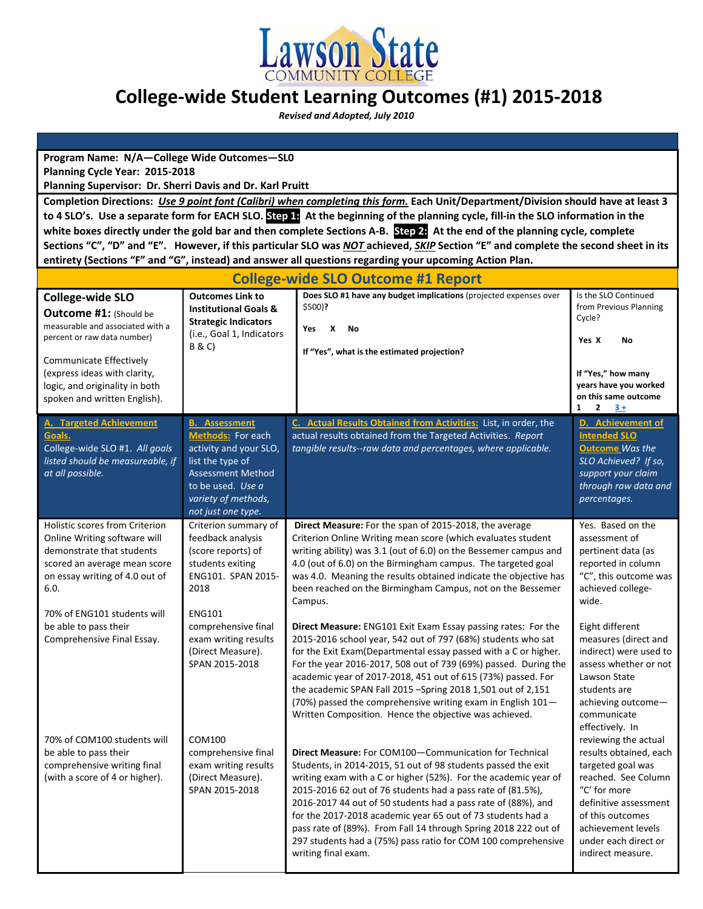

# **College‐wide Student Learning Outcomes (#1) 2015‐2018**

 *Revised and Adopted, July 2010*

**Program Name: N/A—College Wide Outcomes—SL0 Planning Cycle Year: 2015‐2018**

**Planning Supervisor: Dr. Sherri Davis and Dr. Karl Pruitt**

Completion Directions: Use 9 point font (Calibri) when completing this form. Each Unit/Department/Division should have at least 3 to 4 SLO's. Use a separate form for EACH SLO. Step 1: At the beginning of the planning cycle, fill-in the SLO information in the white boxes directly under the gold bar and then complete Sections A-B. Step 24 At the end of the planning cycle, complete Sections "C", "D" and "E". However, if this particular SLO was NOT achieved, SKIP Section "E" and complete the second sheet in its **entirety (Sections "F" and "G", instead) and answer all questions regarding your upcoming Action Plan.** 

| <b>College-wide SLO Outcome #1 Report</b>                                                                                                                                                                                                         |                                                                                                                                                                                       |                                                                                                                                                                                                                                                                                                                                                                                                                                                                                                                                                      |                                                                                                                                                                                                                            |  |
|---------------------------------------------------------------------------------------------------------------------------------------------------------------------------------------------------------------------------------------------------|---------------------------------------------------------------------------------------------------------------------------------------------------------------------------------------|------------------------------------------------------------------------------------------------------------------------------------------------------------------------------------------------------------------------------------------------------------------------------------------------------------------------------------------------------------------------------------------------------------------------------------------------------------------------------------------------------------------------------------------------------|----------------------------------------------------------------------------------------------------------------------------------------------------------------------------------------------------------------------------|--|
| <b>College-wide SLO</b><br>Outcome #1: (Should be<br>measurable and associated with a<br>percent or raw data number)<br>Communicate Effectively<br>(express ideas with clarity,<br>logic, and originality in both<br>spoken and written English). | <b>Outcomes Link to</b><br><b>Institutional Goals &amp;</b><br><b>Strategic Indicators</b><br>(i.e., Goal 1, Indicators<br><b>B &amp; C)</b>                                          | Does SLO #1 have any budget implications (projected expenses over<br>$$500$ ?<br>X<br>Yes<br><b>No</b><br>If "Yes", what is the estimated projection?                                                                                                                                                                                                                                                                                                                                                                                                | Is the SLO Continued<br>from Previous Planning<br>Cycle?<br>Yes X<br><b>No</b><br>If "Yes," how many<br>years have you worked<br>on this same outcome<br>$\mathbf{2}$<br>$3+$<br>1                                         |  |
| <b>A. Targeted Achievement</b><br>Goals.<br>College-wide SLO #1. All goals<br>listed should be measureable, if<br>at all possible.                                                                                                                | <b>B.</b> Assessment<br>Methods: For each<br>activity and your SLO,<br>list the type of<br><b>Assessment Method</b><br>to be used. Use a<br>variety of methods,<br>not just one type. | C. Actual Results Obtained from Activities: List, in order, the<br>actual results obtained from the Targeted Activities. Report<br>tangible results--raw data and percentages, where applicable.                                                                                                                                                                                                                                                                                                                                                     | D. Achievement of<br><b>Intended SLO</b><br><b>Outcome</b> Was the<br>SLO Achieved? If so,<br>support your claim<br>through raw data and<br>percentages.                                                                   |  |
| Holistic scores from Criterion<br>Online Writing software will<br>demonstrate that students<br>scored an average mean score<br>on essay writing of 4.0 out of<br>6.0.                                                                             | Criterion summary of<br>feedback analysis<br>(score reports) of<br>students exiting<br>ENG101. SPAN 2015-<br>2018                                                                     | Direct Measure: For the span of 2015-2018, the average<br>Criterion Online Writing mean score (which evaluates student<br>writing ability) was 3.1 (out of 6.0) on the Bessemer campus and<br>4.0 (out of 6.0) on the Birmingham campus. The targeted goal<br>was 4.0. Meaning the results obtained indicate the objective has<br>been reached on the Birmingham Campus, not on the Bessemer<br>Campus.                                                                                                                                              | Yes. Based on the<br>assessment of<br>pertinent data (as<br>reported in column<br>"C", this outcome was<br>achieved college-<br>wide.                                                                                      |  |
| 70% of ENG101 students will<br>be able to pass their<br>Comprehensive Final Essay.                                                                                                                                                                | <b>ENG101</b><br>comprehensive final<br>exam writing results<br>(Direct Measure).<br>SPAN 2015-2018                                                                                   | <b>Direct Measure:</b> ENG101 Exit Exam Essay passing rates: For the<br>2015-2016 school year, 542 out of 797 (68%) students who sat<br>for the Exit Exam(Departmental essay passed with a C or higher.<br>For the year 2016-2017, 508 out of 739 (69%) passed. During the<br>academic year of 2017-2018, 451 out of 615 (73%) passed. For<br>the academic SPAN Fall 2015 - Spring 2018 1,501 out of 2,151<br>(70%) passed the comprehensive writing exam in English $101-$<br>Written Composition. Hence the objective was achieved.                | Eight different<br>measures (direct and<br>indirect) were used to<br>assess whether or not<br>Lawson State<br>students are<br>achieving outcome-<br>communicate<br>effectively. In                                         |  |
| 70% of COM100 students will<br>be able to pass their<br>comprehensive writing final<br>(with a score of 4 or higher).                                                                                                                             | COM100<br>comprehensive final<br>exam writing results<br>(Direct Measure).<br>SPAN 2015-2018                                                                                          | Direct Measure: For COM100-Communication for Technical<br>Students, in 2014-2015, 51 out of 98 students passed the exit<br>writing exam with a C or higher (52%). For the academic year of<br>2015-2016 62 out of 76 students had a pass rate of (81.5%),<br>2016-2017 44 out of 50 students had a pass rate of (88%), and<br>for the 2017-2018 academic year 65 out of 73 students had a<br>pass rate of (89%). From Fall 14 through Spring 2018 222 out of<br>297 students had a (75%) pass ratio for COM 100 comprehensive<br>writing final exam. | reviewing the actual<br>results obtained, each<br>targeted goal was<br>reached. See Column<br>"C' for more<br>definitive assessment<br>of this outcomes<br>achievement levels<br>under each direct or<br>indirect measure. |  |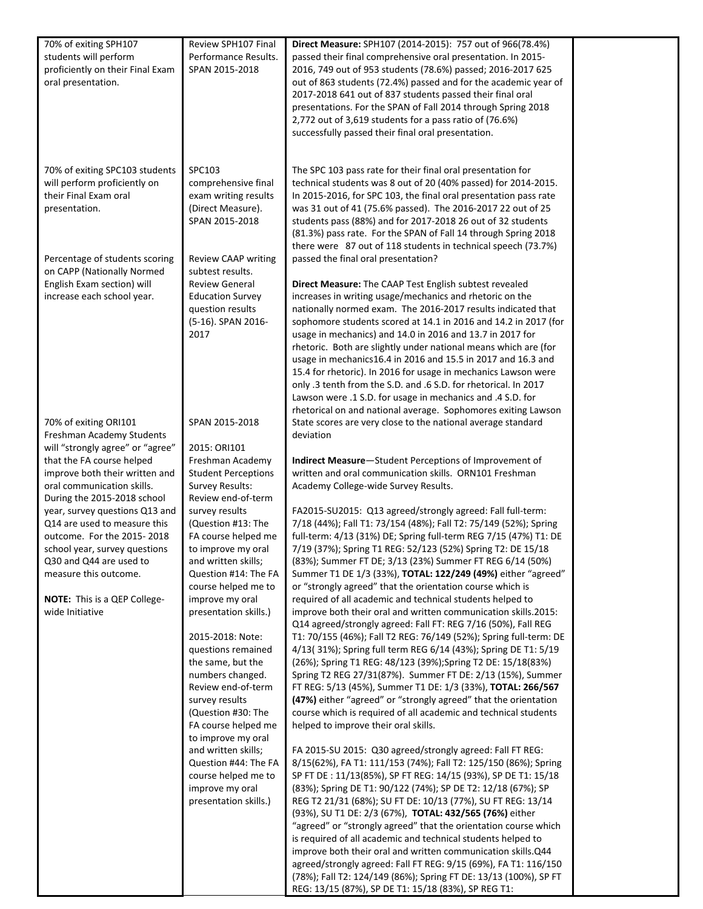| 70% of exiting SPH107<br>students will perform<br>proficiently on their Final Exam<br>oral presentation.                      | Review SPH107 Final<br>Performance Results.<br>SPAN 2015-2018                                                                                        | Direct Measure: SPH107 (2014-2015): 757 out of 966(78.4%)<br>passed their final comprehensive oral presentation. In 2015-<br>2016, 749 out of 953 students (78.6%) passed; 2016-2017 625<br>out of 863 students (72.4%) passed and for the academic year of<br>2017-2018 641 out of 837 students passed their final oral<br>presentations. For the SPAN of Fall 2014 through Spring 2018<br>2,772 out of 3,619 students for a pass ratio of (76.6%)<br>successfully passed their final oral presentation.                                                                                                                                                                                                                                                        |  |
|-------------------------------------------------------------------------------------------------------------------------------|------------------------------------------------------------------------------------------------------------------------------------------------------|------------------------------------------------------------------------------------------------------------------------------------------------------------------------------------------------------------------------------------------------------------------------------------------------------------------------------------------------------------------------------------------------------------------------------------------------------------------------------------------------------------------------------------------------------------------------------------------------------------------------------------------------------------------------------------------------------------------------------------------------------------------|--|
| 70% of exiting SPC103 students<br>will perform proficiently on<br>their Final Exam oral<br>presentation.                      | SPC103<br>comprehensive final<br>exam writing results<br>(Direct Measure).<br>SPAN 2015-2018                                                         | The SPC 103 pass rate for their final oral presentation for<br>technical students was 8 out of 20 (40% passed) for 2014-2015.<br>In 2015-2016, for SPC 103, the final oral presentation pass rate<br>was 31 out of 41 (75.6% passed). The 2016-2017 22 out of 25<br>students pass (88%) and for 2017-2018 26 out of 32 students<br>(81.3%) pass rate. For the SPAN of Fall 14 through Spring 2018<br>there were 87 out of 118 students in technical speech (73.7%)                                                                                                                                                                                                                                                                                               |  |
| Percentage of students scoring<br>on CAPP (Nationally Normed<br>English Exam section) will<br>increase each school year.      | <b>Review CAAP writing</b><br>subtest results.<br><b>Review General</b><br><b>Education Survey</b><br>question results<br>(5-16). SPAN 2016-<br>2017 | passed the final oral presentation?<br>Direct Measure: The CAAP Test English subtest revealed<br>increases in writing usage/mechanics and rhetoric on the<br>nationally normed exam. The 2016-2017 results indicated that<br>sophomore students scored at 14.1 in 2016 and 14.2 in 2017 (for<br>usage in mechanics) and 14.0 in 2016 and 13.7 in 2017 for<br>rhetoric. Both are slightly under national means which are (for<br>usage in mechanics16.4 in 2016 and 15.5 in 2017 and 16.3 and<br>15.4 for rhetoric). In 2016 for usage in mechanics Lawson were<br>only .3 tenth from the S.D. and .6 S.D. for rhetorical. In 2017<br>Lawson were .1 S.D. for usage in mechanics and .4 S.D. for<br>rhetorical on and national average. Sophomores exiting Lawson |  |
| 70% of exiting ORI101<br>Freshman Academy Students<br>will "strongly agree" or "agree"<br>that the FA course helped           | SPAN 2015-2018<br>2015: ORI101<br>Freshman Academy                                                                                                   | State scores are very close to the national average standard<br>deviation<br>Indirect Measure-Student Perceptions of Improvement of                                                                                                                                                                                                                                                                                                                                                                                                                                                                                                                                                                                                                              |  |
| improve both their written and<br>oral communication skills.<br>During the 2015-2018 school                                   | <b>Student Perceptions</b><br>Survey Results:<br>Review end-of-term                                                                                  | written and oral communication skills. ORN101 Freshman<br>Academy College-wide Survey Results.                                                                                                                                                                                                                                                                                                                                                                                                                                                                                                                                                                                                                                                                   |  |
| year, survey questions Q13 and<br>Q14 are used to measure this<br>outcome. For the 2015-2018<br>school year, survey questions | survey results<br>(Question #13: The<br>FA course helped me<br>to improve my oral                                                                    | FA2015-SU2015: Q13 agreed/strongly agreed: Fall full-term:<br>7/18 (44%); Fall T1: 73/154 (48%); Fall T2: 75/149 (52%); Spring<br>full-term: 4/13 (31%) DE; Spring full-term REG 7/15 (47%) T1: DE<br>7/19 (37%); Spring T1 REG: 52/123 (52%) Spring T2: DE 15/18                                                                                                                                                                                                                                                                                                                                                                                                                                                                                                |  |
| Q30 and Q44 are used to<br>measure this outcome.                                                                              | and written skills;<br>Question #14: The FA<br>course helped me to                                                                                   | (83%); Summer FT DE; 3/13 (23%) Summer FT REG 6/14 (50%)<br>Summer T1 DE 1/3 (33%), TOTAL: 122/249 (49%) either "agreed"<br>or "strongly agreed" that the orientation course which is                                                                                                                                                                                                                                                                                                                                                                                                                                                                                                                                                                            |  |
| NOTE: This is a QEP College-<br>wide Initiative                                                                               | improve my oral<br>presentation skills.)<br>2015-2018: Note:                                                                                         | required of all academic and technical students helped to<br>improve both their oral and written communication skills.2015:<br>Q14 agreed/strongly agreed: Fall FT: REG 7/16 (50%), Fall REG<br>T1: 70/155 (46%); Fall T2 REG: 76/149 (52%); Spring full-term: DE                                                                                                                                                                                                                                                                                                                                                                                                                                                                                                |  |
|                                                                                                                               | questions remained<br>the same, but the<br>numbers changed.<br>Review end-of-term<br>survey results                                                  | 4/13(31%); Spring full term REG 6/14 (43%); Spring DE T1: 5/19<br>(26%); Spring T1 REG: 48/123 (39%); Spring T2 DE: 15/18(83%)<br>Spring T2 REG 27/31(87%). Summer FT DE: 2/13 (15%), Summer<br>FT REG: 5/13 (45%), Summer T1 DE: 1/3 (33%), TOTAL: 266/567<br>(47%) either "agreed" or "strongly agreed" that the orientation                                                                                                                                                                                                                                                                                                                                                                                                                                   |  |
|                                                                                                                               | (Question #30: The<br>FA course helped me<br>to improve my oral                                                                                      | course which is required of all academic and technical students<br>helped to improve their oral skills.                                                                                                                                                                                                                                                                                                                                                                                                                                                                                                                                                                                                                                                          |  |
|                                                                                                                               | and written skills;<br>Question #44: The FA<br>course helped me to<br>improve my oral<br>presentation skills.)                                       | FA 2015-SU 2015: Q30 agreed/strongly agreed: Fall FT REG:<br>8/15(62%), FA T1: 111/153 (74%); Fall T2: 125/150 (86%); Spring<br>SP FT DE: 11/13(85%), SP FT REG: 14/15 (93%), SP DE T1: 15/18<br>(83%); Spring DE T1: 90/122 (74%); SP DE T2: 12/18 (67%); SP<br>REG T2 21/31 (68%); SU FT DE: 10/13 (77%), SU FT REG: 13/14<br>(93%), SU T1 DE: 2/3 (67%), TOTAL: 432/565 (76%) either                                                                                                                                                                                                                                                                                                                                                                          |  |
|                                                                                                                               |                                                                                                                                                      | "agreed" or "strongly agreed" that the orientation course which<br>is required of all academic and technical students helped to<br>improve both their oral and written communication skills.Q44<br>agreed/strongly agreed: Fall FT REG: 9/15 (69%), FA T1: 116/150<br>(78%); Fall T2: 124/149 (86%); Spring FT DE: 13/13 (100%), SP FT<br>REG: 13/15 (87%), SP DE T1: 15/18 (83%), SP REG T1:                                                                                                                                                                                                                                                                                                                                                                    |  |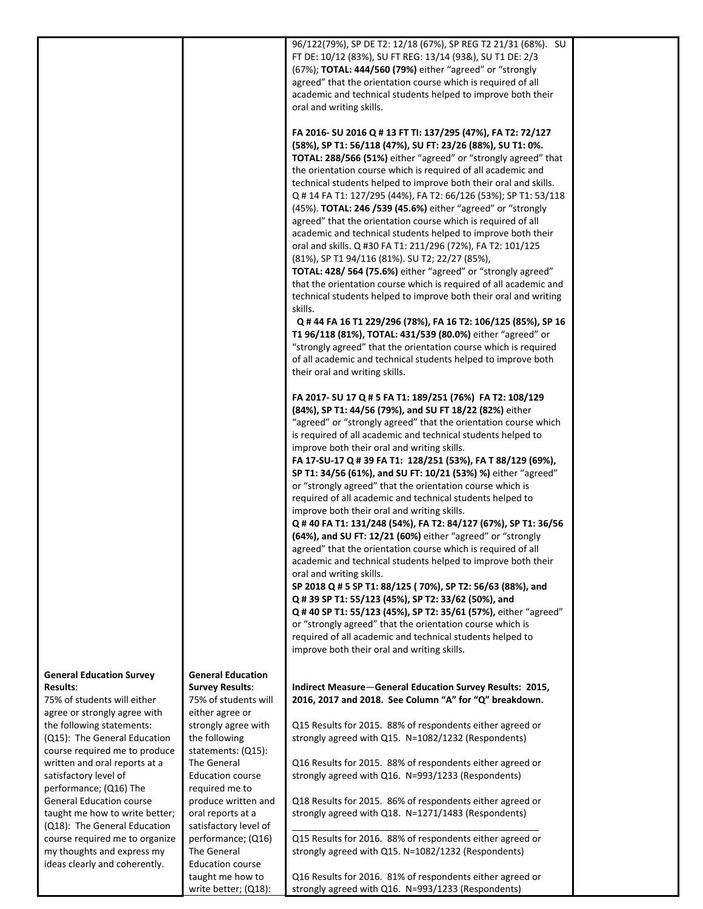|                                                                |                                                | 96/122(79%), SP DE T2: 12/18 (67%), SP REG T2 21/31 (68%). SU<br>FT DE: 10/12 (83%), SU FT REG: 13/14 (93&), SU T1 DE: 2/3       |  |
|----------------------------------------------------------------|------------------------------------------------|----------------------------------------------------------------------------------------------------------------------------------|--|
|                                                                |                                                | (67%); TOTAL: 444/560 (79%) either "agreed" or "strongly                                                                         |  |
|                                                                |                                                | agreed" that the orientation course which is required of all                                                                     |  |
|                                                                |                                                | academic and technical students helped to improve both their<br>oral and writing skills.                                         |  |
|                                                                |                                                |                                                                                                                                  |  |
|                                                                |                                                | FA 2016- SU 2016 Q # 13 FT TI: 137/295 (47%), FA T2: 72/127                                                                      |  |
|                                                                |                                                | (58%), SP T1: 56/118 (47%), SU FT: 23/26 (88%), SU T1: 0%.<br>TOTAL: 288/566 (51%) either "agreed" or "strongly agreed" that     |  |
|                                                                |                                                | the orientation course which is required of all academic and                                                                     |  |
|                                                                |                                                | technical students helped to improve both their oral and skills.                                                                 |  |
|                                                                |                                                | Q # 14 FA T1: 127/295 (44%), FA T2: 66/126 (53%); SP T1: 53/118<br>(45%). TOTAL: 246 / 539 (45.6%) either "agreed" or "strongly  |  |
|                                                                |                                                | agreed" that the orientation course which is required of all                                                                     |  |
|                                                                |                                                | academic and technical students helped to improve both their                                                                     |  |
|                                                                |                                                | oral and skills. Q #30 FA T1: 211/296 (72%), FA T2: 101/125<br>(81%), SP T1 94/116 (81%). SU T2; 22/27 (85%),                    |  |
|                                                                |                                                | TOTAL: 428/ 564 (75.6%) either "agreed" or "strongly agreed"                                                                     |  |
|                                                                |                                                | that the orientation course which is required of all academic and                                                                |  |
|                                                                |                                                | technical students helped to improve both their oral and writing<br>skills.                                                      |  |
|                                                                |                                                | Q # 44 FA 16 T1 229/296 (78%), FA 16 T2: 106/125 (85%), SP 16                                                                    |  |
|                                                                |                                                | T1 96/118 (81%), TOTAL: 431/539 (80.0%) either "agreed" or                                                                       |  |
|                                                                |                                                | "strongly agreed" that the orientation course which is required<br>of all academic and technical students helped to improve both |  |
|                                                                |                                                | their oral and writing skills.                                                                                                   |  |
|                                                                |                                                |                                                                                                                                  |  |
|                                                                |                                                | FA 2017- SU 17 Q # 5 FA T1: 189/251 (76%) FA T2: 108/129<br>(84%), SP T1: 44/56 (79%), and SU FT 18/22 (82%) either              |  |
|                                                                |                                                | "agreed" or "strongly agreed" that the orientation course which                                                                  |  |
|                                                                |                                                | is required of all academic and technical students helped to                                                                     |  |
|                                                                |                                                | improve both their oral and writing skills.<br>FA 17-SU-17 Q # 39 FA T1: 128/251 (53%), FA T 88/129 (69%),                       |  |
|                                                                |                                                | SP T1: 34/56 (61%), and SU FT: 10/21 (53%) %) either "agreed"                                                                    |  |
|                                                                |                                                | or "strongly agreed" that the orientation course which is                                                                        |  |
|                                                                |                                                | required of all academic and technical students helped to<br>improve both their oral and writing skills.                         |  |
|                                                                |                                                | Q # 40 FA T1: 131/248 (54%), FA T2: 84/127 (67%), SP T1: 36/56                                                                   |  |
|                                                                |                                                | (64%), and SU FT: 12/21 (60%) either "agreed" or "strongly<br>agreed" that the orientation course which is required of all       |  |
|                                                                |                                                | academic and technical students helped to improve both their                                                                     |  |
|                                                                |                                                | oral and writing skills.                                                                                                         |  |
|                                                                |                                                | SP 2018 Q # 5 SP T1: 88/125 (70%), SP T2: 56/63 (88%), and                                                                       |  |
|                                                                |                                                | Q # 39 SP T1: 55/123 (45%), SP T2: 33/62 (50%), and<br>Q #40 SP T1: 55/123 (45%), SP T2: 35/61 (57%), either "agreed"            |  |
|                                                                |                                                | or "strongly agreed" that the orientation course which is                                                                        |  |
|                                                                |                                                | required of all academic and technical students helped to<br>improve both their oral and writing skills.                         |  |
|                                                                |                                                |                                                                                                                                  |  |
| <b>General Education Survey</b>                                | <b>General Education</b>                       |                                                                                                                                  |  |
| <b>Results:</b><br>75% of students will either                 | <b>Survey Results:</b><br>75% of students will | Indirect Measure-General Education Survey Results: 2015,<br>2016, 2017 and 2018. See Column "A" for "Q" breakdown.               |  |
| agree or strongly agree with                                   | either agree or                                |                                                                                                                                  |  |
| the following statements:                                      | strongly agree with                            | Q15 Results for 2015. 88% of respondents either agreed or                                                                        |  |
| (Q15): The General Education<br>course required me to produce  | the following<br>statements: (Q15):            | strongly agreed with Q15. N=1082/1232 (Respondents)                                                                              |  |
| written and oral reports at a                                  | The General                                    | Q16 Results for 2015. 88% of respondents either agreed or                                                                        |  |
| satisfactory level of<br>performance; (Q16) The                | <b>Education course</b><br>required me to      | strongly agreed with Q16. N=993/1233 (Respondents)                                                                               |  |
| <b>General Education course</b>                                | produce written and                            | Q18 Results for 2015. 86% of respondents either agreed or                                                                        |  |
| taught me how to write better;                                 | oral reports at a                              | strongly agreed with Q18. N=1271/1483 (Respondents)                                                                              |  |
| (Q18): The General Education<br>course required me to organize | satisfactory level of<br>performance; (Q16)    | Q15 Results for 2016. 88% of respondents either agreed or                                                                        |  |
| my thoughts and express my                                     | The General                                    | strongly agreed with Q15. N=1082/1232 (Respondents)                                                                              |  |
| ideas clearly and coherently.                                  | <b>Education course</b>                        |                                                                                                                                  |  |
|                                                                | taught me how to<br>write better; (Q18):       | Q16 Results for 2016. 81% of respondents either agreed or<br>strongly agreed with Q16. N=993/1233 (Respondents)                  |  |
|                                                                |                                                |                                                                                                                                  |  |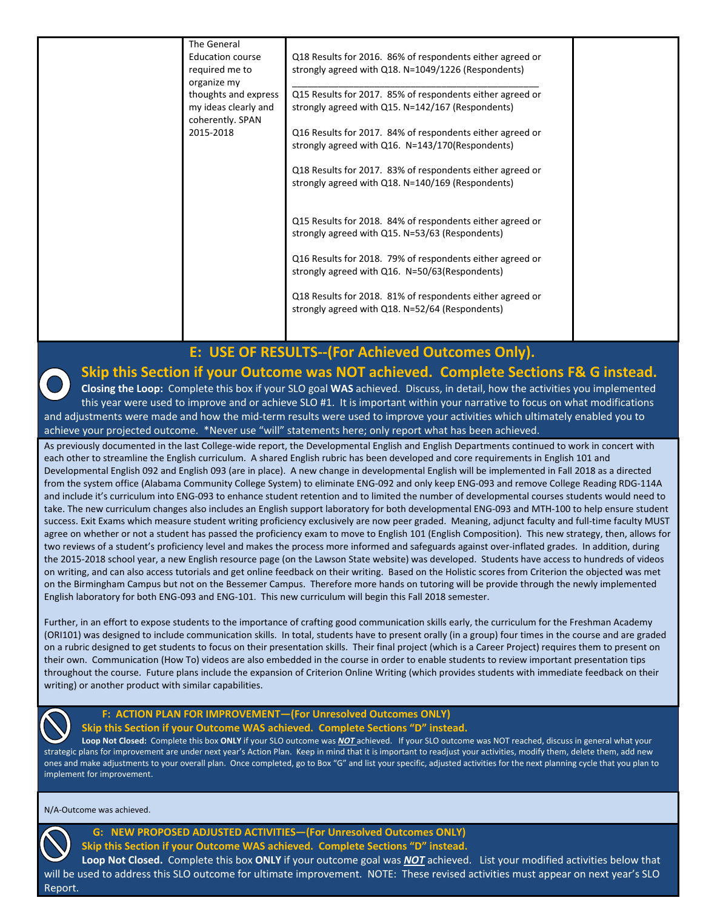| The General          |                                                           |  |
|----------------------|-----------------------------------------------------------|--|
| Education course     | Q18 Results for 2016. 86% of respondents either agreed or |  |
| required me to       | strongly agreed with Q18. N=1049/1226 (Respondents)       |  |
| organize my          |                                                           |  |
| thoughts and express | Q15 Results for 2017. 85% of respondents either agreed or |  |
| my ideas clearly and | strongly agreed with Q15. N=142/167 (Respondents)         |  |
| coherently. SPAN     |                                                           |  |
|                      |                                                           |  |
| 2015-2018            | Q16 Results for 2017. 84% of respondents either agreed or |  |
|                      | strongly agreed with Q16. N=143/170(Respondents)          |  |
|                      |                                                           |  |
|                      | Q18 Results for 2017. 83% of respondents either agreed or |  |
|                      | strongly agreed with Q18. N=140/169 (Respondents)         |  |
|                      |                                                           |  |
|                      |                                                           |  |
|                      | Q15 Results for 2018. 84% of respondents either agreed or |  |
|                      | strongly agreed with Q15. N=53/63 (Respondents)           |  |
|                      |                                                           |  |
|                      |                                                           |  |
|                      | Q16 Results for 2018. 79% of respondents either agreed or |  |
|                      | strongly agreed with Q16. N=50/63(Respondents)            |  |
|                      |                                                           |  |
|                      | Q18 Results for 2018. 81% of respondents either agreed or |  |
|                      | strongly agreed with Q18. N=52/64 (Respondents)           |  |
|                      |                                                           |  |
|                      |                                                           |  |
|                      |                                                           |  |

 **E: USE OF RESULTS‐‐(For Achieved Outcomes Only).** 

### **Skip this Section if your Outcome was NOT achieved. Complete Sections F& G instead.**

**Closing the Loop:** Complete this box if your SLO goal **WAS** achieved. Discuss, in detail, how the activities you implemented this year were used to improve and or achieve SLO #1. It is important within your narrative to focus on what modifications and adjustments were made and how the mid‐term results were used to improve your activities which ultimately enabled you to achieve your projected outcome. \*Never use "will" statements here; only report what has been achieved.

As previously documented in the last College-wide report, the Developmental English and English Departments continued to work in concert with each other to streamline the English curriculum. A shared English rubric has been developed and core requirements in English 101 and Developmental English 092 and English 093 (are in place). A new change in developmental English will be implemented in Fall 2018 as a directed from the system office (Alabama Community College System) to eliminate ENG‐092 and only keep ENG‐093 and remove College Reading RDG‐114A and include it's curriculum into ENG‐093 to enhance student retention and to limited the number of developmental courses students would need to take. The new curriculum changes also includes an English support laboratory for both developmental ENG‐093 and MTH‐100 to help ensure student success. Exit Exams which measure student writing proficiency exclusively are now peer graded. Meaning, adjunct faculty and full‐time faculty MUST agree on whether or not a student has passed the proficiency exam to move to English 101 (English Composition). This new strategy, then, allows for two reviews of a student's proficiency level and makes the process more informed and safeguards against over‐inflated grades. In addition, during the 2015‐2018 school year, a new English resource page (on the Lawson State website) was developed. Students have access to hundreds of videos on writing, and can also access tutorials and get online feedback on their writing. Based on the Holistic scores from Criterion the objected was met on the Birmingham Campus but not on the Bessemer Campus. Therefore more hands on tutoring will be provide through the newly implemented English laboratory for both ENG‐093 and ENG‐101. This new curriculum will begin this Fall 2018 semester.

Further, in an effort to expose students to the importance of crafting good communication skills early, the curriculum for the Freshman Academy (ORI101) was designed to include communication skills. In total, students have to present orally (in a group) four times in the course and are graded on a rubric designed to get students to focus on their presentation skills. Their final project (which is a Career Project) requires them to present on their own. Communication (How To) videos are also embedded in the course in order to enable students to review important presentation tips throughout the course. Future plans include the expansion of Criterion Online Writing (which provides students with immediate feedback on their writing) or another product with similar capabilities.



### **F: ACTION PLAN FOR IMPROVEMENT—(For Unresolved Outcomes ONLY) Skip this Section if your Outcome WAS achieved. Complete Sections "D" instead.**

**Loop Not Closed:** Complete this box **ONLY** if your SLO outcome was *NOT* achieved. If your SLO outcome was NOT reached, discuss in general what your strategic plans for improvement are under next year's Action Plan. Keep in mind that it is important to readjust your activities, modify them, delete them, add new ones and make adjustments to your overall plan. Once completed, go to Box "G" and list your specific, adjusted activities for the next planning cycle that you plan to implement for improvement.

N/A‐Outcome was achieved.



 **G: NEW PROPOSED ADJUSTED ACTIVITIES—(For Unresolved Outcomes ONLY) Skip this Section if your Outcome WAS achieved. Complete Sections "D" instead.**

**Loop Not Closed.** Complete this box **ONLY** if your outcome goal was *NOT* achieved. List your modified activities below that will be used to address this SLO outcome for ultimate improvement. NOTE: These revised activities must appear on next year's SLO Report.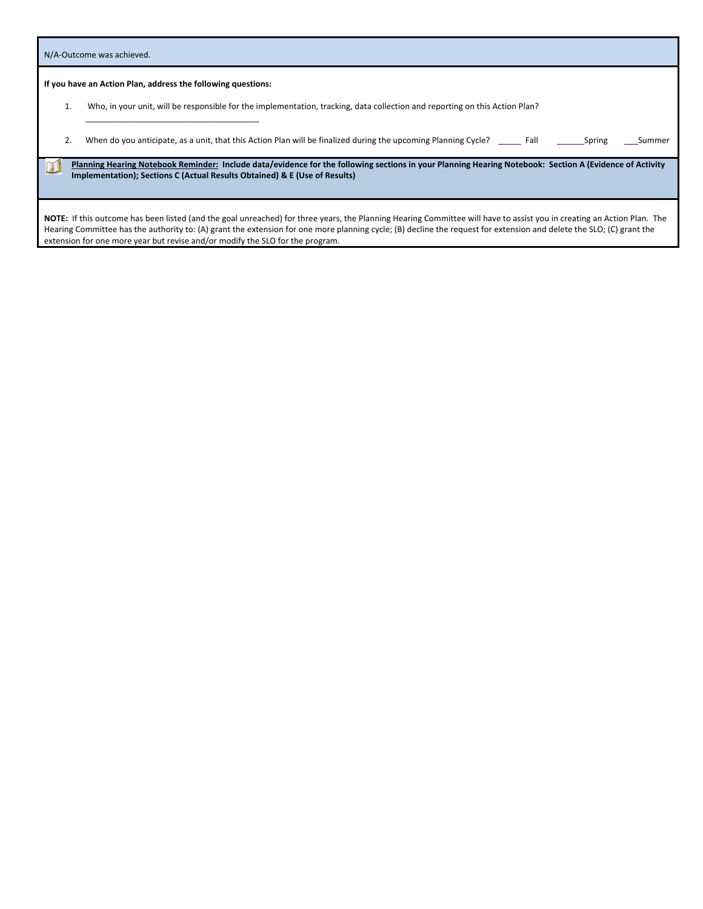|    | N/A-Outcome was achieved.                                                                                                                                                                                                             |
|----|---------------------------------------------------------------------------------------------------------------------------------------------------------------------------------------------------------------------------------------|
|    | If you have an Action Plan, address the following questions:                                                                                                                                                                          |
| Τ. | Who, in your unit, will be responsible for the implementation, tracking, data collection and reporting on this Action Plan?                                                                                                           |
|    | When do you anticipate, as a unit, that this Action Plan will be finalized during the upcoming Planning Cycle? Fall<br>Spring<br>Summer                                                                                               |
|    | Planning Hearing Notebook Reminder: Include data/evidence for the following sections in your Planning Hearing Notebook: Section A (Evidence of Activity<br>Implementation); Sections C (Actual Results Obtained) & E (Use of Results) |

NOTE: If this outcome has been listed (and the goal unreached) for three years, the Planning Hearing Committee will have to assist you in creating an Action Plan. The Hearing Committee has the authority to: (A) grant the extension for one more planning cycle; (B) decline the request for extension and delete the SLO; (C) grant the extension for one more year but revise and/or modify the SLO for the program.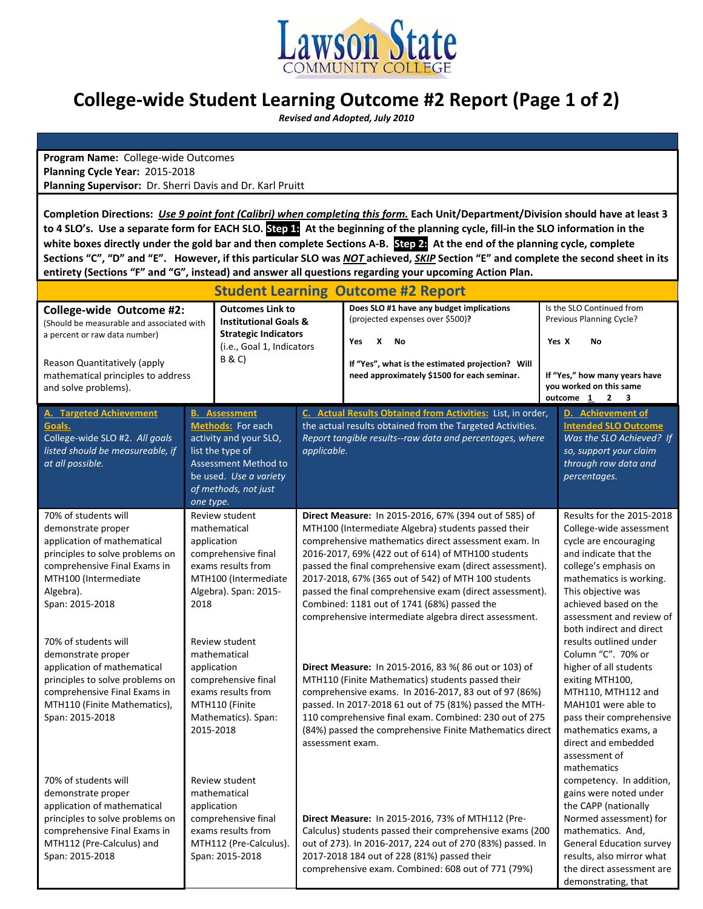

# **College‐wide Student Learning Outcome #2 Report (Page 1 of 2)**

 *Revised and Adopted, July 2010*

**Program Name:** College‐wide Outcomes **Planning Cycle Year:** 2015‐2018 **Planning Supervisor:** Dr. Sherri Davis and Dr. Karl Pruitt

Completion Directions: Use 9 point font (Calibri) when completing this form. Each Unit/Department/Division should have at least 3 to 4 SLO's. Use a separate form for EACH SLO. Step 1: At the beginning of the planning cycle, fill-in the SLO information in the white boxes directly under the gold bar and then complete Sections A-B. Step 24 At the end of the planning cycle, complete Sections "C", "D" and "E". However, if this particular SLO was NOT achieved, SKIP Section "E" and complete the second sheet in its **entirety (Sections "F" and "G", instead) and answer all questions regarding your upcoming Action Plan.** 

| <b>Student Learning Outcome #2 Report</b>                                                                                                                                                                                         |                                                                                                                                                                                |                  |                                                                                                                                                                                                                                                                                                                                                                                                                                                                                                                   |       |                                                                                                                                                                                                                                                                   |
|-----------------------------------------------------------------------------------------------------------------------------------------------------------------------------------------------------------------------------------|--------------------------------------------------------------------------------------------------------------------------------------------------------------------------------|------------------|-------------------------------------------------------------------------------------------------------------------------------------------------------------------------------------------------------------------------------------------------------------------------------------------------------------------------------------------------------------------------------------------------------------------------------------------------------------------------------------------------------------------|-------|-------------------------------------------------------------------------------------------------------------------------------------------------------------------------------------------------------------------------------------------------------------------|
| <b>Outcomes Link to</b><br>College-wide Outcome #2:<br><b>Institutional Goals &amp;</b><br>(Should be measurable and associated with<br><b>Strategic Indicators</b><br>a percent or raw data number)<br>(i.e., Goal 1, Indicators |                                                                                                                                                                                |                  | Does SLO #1 have any budget implications<br>(projected expenses over \$500)?<br><b>No</b><br>Yes<br>X                                                                                                                                                                                                                                                                                                                                                                                                             | Yes X | Is the SLO Continued from<br>Previous Planning Cycle?<br>No                                                                                                                                                                                                       |
| Reason Quantitatively (apply<br>mathematical principles to address<br>and solve problems).                                                                                                                                        | <b>B&amp;C</b> )                                                                                                                                                               |                  | If "Yes", what is the estimated projection? Will<br>need approximately \$1500 for each seminar.                                                                                                                                                                                                                                                                                                                                                                                                                   |       | If "Yes," how many years have<br>you worked on this same<br>outcome $1 \quad 2$<br>$\overline{\mathbf{3}}$                                                                                                                                                        |
| <b>A. Targeted Achievement</b><br>Goals.<br>College-wide SLO #2. All goals<br>listed should be measureable, if<br>at all possible.                                                                                                | <b>B.</b> Assessment<br>Methods: For each<br>activity and your SLO,<br>list the type of<br>Assessment Method to<br>be used. Use a variety<br>of methods, not just<br>one type. | applicable.      | C. Actual Results Obtained from Activities: List, in order,<br>the actual results obtained from the Targeted Activities.<br>Report tangible results--raw data and percentages, where                                                                                                                                                                                                                                                                                                                              |       | D. Achievement of<br><b>Intended SLO Outcome</b><br>Was the SLO Achieved? If<br>so, support your claim<br>through raw data and<br>percentages.                                                                                                                    |
| 70% of students will<br>demonstrate proper<br>application of mathematical<br>principles to solve problems on<br>comprehensive Final Exams in<br>MTH100 (Intermediate<br>Algebra).<br>Span: 2015-2018                              | Review student<br>mathematical<br>application<br>comprehensive final<br>exams results from<br>MTH100 (Intermediate<br>Algebra). Span: 2015-<br>2018                            |                  | Direct Measure: In 2015-2016, 67% (394 out of 585) of<br>MTH100 (Intermediate Algebra) students passed their<br>comprehensive mathematics direct assessment exam. In<br>2016-2017, 69% (422 out of 614) of MTH100 students<br>passed the final comprehensive exam (direct assessment).<br>2017-2018, 67% (365 out of 542) of MTH 100 students<br>passed the final comprehensive exam (direct assessment).<br>Combined: 1181 out of 1741 (68%) passed the<br>comprehensive intermediate algebra direct assessment. |       | Results for the 2015-2018<br>College-wide assessment<br>cycle are encouraging<br>and indicate that the<br>college's emphasis on<br>mathematics is working.<br>This objective was<br>achieved based on the<br>assessment and review of<br>both indirect and direct |
| 70% of students will<br>demonstrate proper<br>application of mathematical<br>principles to solve problems on<br>comprehensive Final Exams in<br>MTH110 (Finite Mathematics),<br>Span: 2015-2018                                   | Review student<br>mathematical<br>application<br>comprehensive final<br>exams results from<br>MTH110 (Finite<br>Mathematics). Span:<br>2015-2018                               | assessment exam. | <b>Direct Measure:</b> In 2015-2016, 83 % (86 out or 103) of<br>MTH110 (Finite Mathematics) students passed their<br>comprehensive exams. In 2016-2017, 83 out of 97 (86%)<br>passed. In 2017-2018 61 out of 75 (81%) passed the MTH-<br>110 comprehensive final exam. Combined: 230 out of 275<br>(84%) passed the comprehensive Finite Mathematics direct                                                                                                                                                       |       | results outlined under<br>Column "C". 70% or<br>higher of all students<br>exiting MTH100,<br>MTH110, MTH112 and<br>MAH101 were able to<br>pass their comprehensive<br>mathematics exams, a<br>direct and embedded<br>assessment of<br>mathematics                 |
| 70% of students will<br>demonstrate proper<br>application of mathematical<br>principles to solve problems on<br>comprehensive Final Exams in<br>MTH112 (Pre-Calculus) and<br>Span: 2015-2018                                      | Review student<br>mathematical<br>application<br>comprehensive final<br>exams results from<br>MTH112 (Pre-Calculus).<br>Span: 2015-2018                                        |                  | Direct Measure: In 2015-2016, 73% of MTH112 (Pre-<br>Calculus) students passed their comprehensive exams (200<br>out of 273). In 2016-2017, 224 out of 270 (83%) passed. In<br>2017-2018 184 out of 228 (81%) passed their<br>comprehensive exam. Combined: 608 out of 771 (79%)                                                                                                                                                                                                                                  |       | competency. In addition,<br>gains were noted under<br>the CAPP (nationally<br>Normed assessment) for<br>mathematics. And,<br><b>General Education survey</b><br>results, also mirror what<br>the direct assessment are<br>demonstrating, that                     |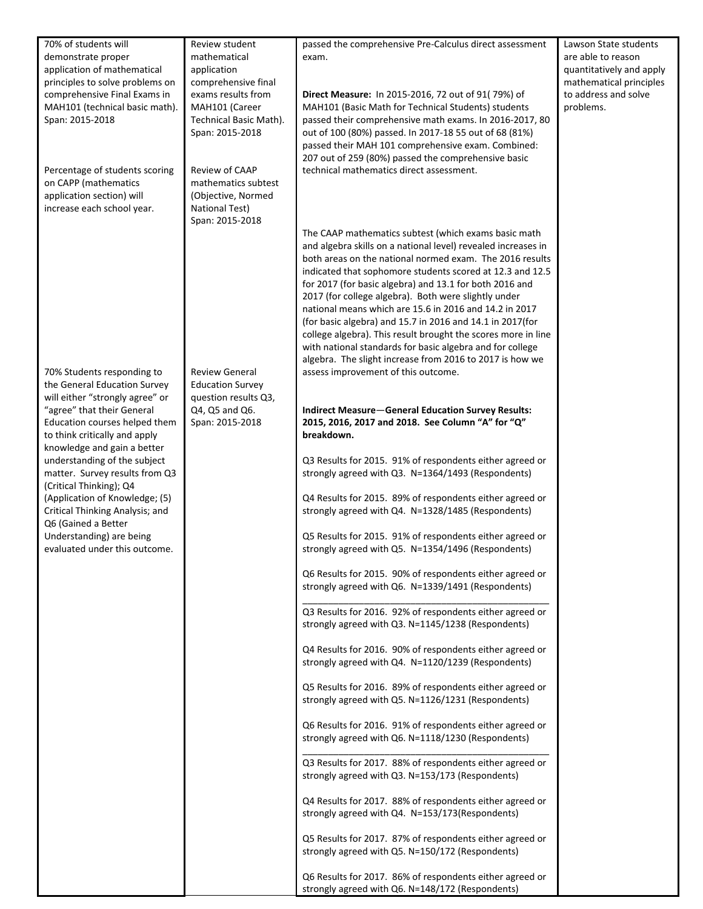| 70% of students will            | Review student          | passed the comprehensive Pre-Calculus direct assessment       | Lawson State students    |
|---------------------------------|-------------------------|---------------------------------------------------------------|--------------------------|
| demonstrate proper              | mathematical            | exam.                                                         | are able to reason       |
| application of mathematical     | application             |                                                               | quantitatively and apply |
| principles to solve problems on | comprehensive final     |                                                               | mathematical principles  |
| comprehensive Final Exams in    | exams results from      | Direct Measure: In 2015-2016, 72 out of 91(79%) of            | to address and solve     |
|                                 | MAH101 (Career          |                                                               | problems.                |
| MAH101 (technical basic math).  |                         | MAH101 (Basic Math for Technical Students) students           |                          |
| Span: 2015-2018                 | Technical Basic Math).  | passed their comprehensive math exams. In 2016-2017, 80       |                          |
|                                 | Span: 2015-2018         | out of 100 (80%) passed. In 2017-18 55 out of 68 (81%)        |                          |
|                                 |                         | passed their MAH 101 comprehensive exam. Combined:            |                          |
|                                 |                         | 207 out of 259 (80%) passed the comprehensive basic           |                          |
| Percentage of students scoring  | Review of CAAP          | technical mathematics direct assessment.                      |                          |
| on CAPP (mathematics            | mathematics subtest     |                                                               |                          |
| application section) will       | (Objective, Normed      |                                                               |                          |
| increase each school year.      | <b>National Test)</b>   |                                                               |                          |
|                                 | Span: 2015-2018         |                                                               |                          |
|                                 |                         | The CAAP mathematics subtest (which exams basic math          |                          |
|                                 |                         | and algebra skills on a national level) revealed increases in |                          |
|                                 |                         | both areas on the national normed exam. The 2016 results      |                          |
|                                 |                         |                                                               |                          |
|                                 |                         | indicated that sophomore students scored at 12.3 and 12.5     |                          |
|                                 |                         | for 2017 (for basic algebra) and 13.1 for both 2016 and       |                          |
|                                 |                         | 2017 (for college algebra). Both were slightly under          |                          |
|                                 |                         | national means which are 15.6 in 2016 and 14.2 in 2017        |                          |
|                                 |                         | (for basic algebra) and 15.7 in 2016 and 14.1 in 2017(for     |                          |
|                                 |                         | college algebra). This result brought the scores more in line |                          |
|                                 |                         | with national standards for basic algebra and for college     |                          |
|                                 |                         | algebra. The slight increase from 2016 to 2017 is how we      |                          |
| 70% Students responding to      | <b>Review General</b>   | assess improvement of this outcome.                           |                          |
| the General Education Survey    | <b>Education Survey</b> |                                                               |                          |
| will either "strongly agree" or | question results Q3,    |                                                               |                          |
| "agree" that their General      | Q4, Q5 and Q6.          | <b>Indirect Measure-General Education Survey Results:</b>     |                          |
| Education courses helped them   | Span: 2015-2018         | 2015, 2016, 2017 and 2018. See Column "A" for "Q"             |                          |
|                                 |                         |                                                               |                          |
| to think critically and apply   |                         | breakdown.                                                    |                          |
| knowledge and gain a better     |                         |                                                               |                          |
| understanding of the subject    |                         | Q3 Results for 2015. 91% of respondents either agreed or      |                          |
| matter. Survey results from Q3  |                         | strongly agreed with Q3. N=1364/1493 (Respondents)            |                          |
| (Critical Thinking); Q4         |                         |                                                               |                          |
| (Application of Knowledge; (5)  |                         | Q4 Results for 2015. 89% of respondents either agreed or      |                          |
| Critical Thinking Analysis; and |                         | strongly agreed with Q4. N=1328/1485 (Respondents)            |                          |
| Q6 (Gained a Better             |                         |                                                               |                          |
| Understanding) are being        |                         | Q5 Results for 2015. 91% of respondents either agreed or      |                          |
| evaluated under this outcome.   |                         | strongly agreed with Q5. N=1354/1496 (Respondents)            |                          |
|                                 |                         |                                                               |                          |
|                                 |                         | Q6 Results for 2015. 90% of respondents either agreed or      |                          |
|                                 |                         |                                                               |                          |
|                                 |                         | strongly agreed with Q6. N=1339/1491 (Respondents)            |                          |
|                                 |                         |                                                               |                          |
|                                 |                         | Q3 Results for 2016. 92% of respondents either agreed or      |                          |
|                                 |                         | strongly agreed with Q3. N=1145/1238 (Respondents)            |                          |
|                                 |                         |                                                               |                          |
|                                 |                         | Q4 Results for 2016. 90% of respondents either agreed or      |                          |
|                                 |                         | strongly agreed with Q4. N=1120/1239 (Respondents)            |                          |
|                                 |                         |                                                               |                          |
|                                 |                         | Q5 Results for 2016. 89% of respondents either agreed or      |                          |
|                                 |                         | strongly agreed with Q5. N=1126/1231 (Respondents)            |                          |
|                                 |                         |                                                               |                          |
|                                 |                         | Q6 Results for 2016. 91% of respondents either agreed or      |                          |
|                                 |                         | strongly agreed with Q6. N=1118/1230 (Respondents)            |                          |
|                                 |                         |                                                               |                          |
|                                 |                         | Q3 Results for 2017. 88% of respondents either agreed or      |                          |
|                                 |                         |                                                               |                          |
|                                 |                         | strongly agreed with Q3. N=153/173 (Respondents)              |                          |
|                                 |                         |                                                               |                          |
|                                 |                         | Q4 Results for 2017. 88% of respondents either agreed or      |                          |
|                                 |                         | strongly agreed with Q4. N=153/173(Respondents)               |                          |
|                                 |                         |                                                               |                          |
|                                 |                         | Q5 Results for 2017. 87% of respondents either agreed or      |                          |
|                                 |                         | strongly agreed with Q5. N=150/172 (Respondents)              |                          |
|                                 |                         |                                                               |                          |
|                                 |                         | Q6 Results for 2017. 86% of respondents either agreed or      |                          |
|                                 |                         | strongly agreed with Q6. N=148/172 (Respondents)              |                          |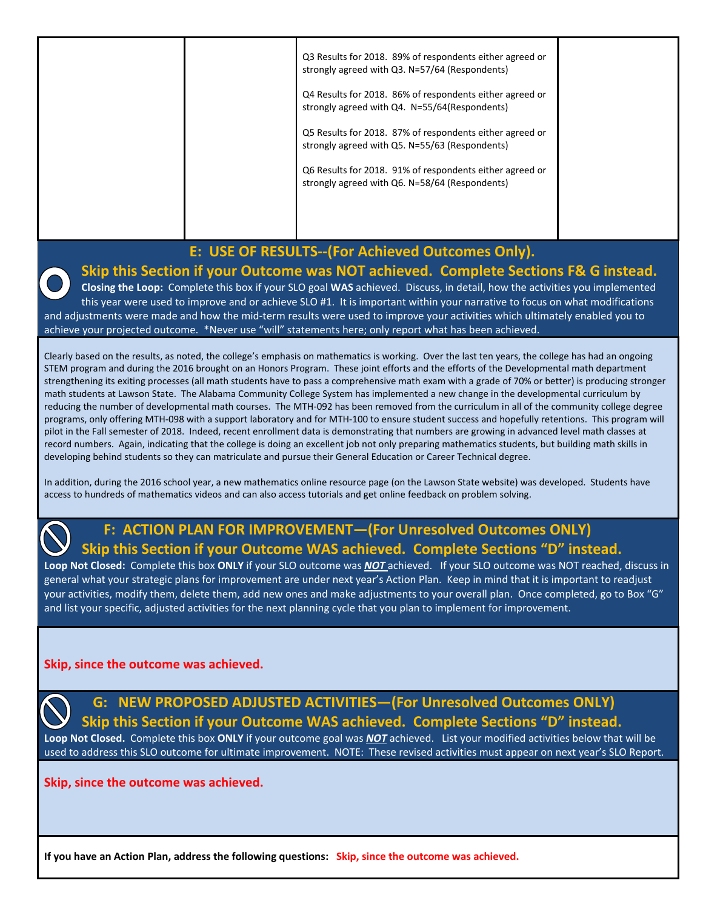|  | Q3 Results for 2018. 89% of respondents either agreed or<br>strongly agreed with Q3. N=57/64 (Respondents)<br>Q4 Results for 2018. 86% of respondents either agreed or<br>strongly agreed with Q4. N=55/64(Respondents)<br>Q5 Results for 2018. 87% of respondents either agreed or<br>strongly agreed with Q5. N=55/63 (Respondents) |  |
|--|---------------------------------------------------------------------------------------------------------------------------------------------------------------------------------------------------------------------------------------------------------------------------------------------------------------------------------------|--|
|  | Q6 Results for 2018. 91% of respondents either agreed or<br>strongly agreed with Q6. N=58/64 (Respondents)                                                                                                                                                                                                                            |  |

### **E: USE OF RESULTS‐‐(For Achieved Outcomes Only).**

**Skip this Section if your Outcome was NOT achieved. Complete Sections F& G instead.**

**Closing the Loop:** Complete this box if your SLO goal **WAS** achieved. Discuss, in detail, how the activities you implemented this year were used to improve and or achieve SLO #1. It is important within your narrative to focus on what modifications and adjustments were made and how the mid‐term results were used to improve your activities which ultimately enabled you to achieve your projected outcome. \*Never use "will" statements here; only report what has been achieved.

Clearly based on the results, as noted, the college's emphasis on mathematics is working. Over the last ten years, the college has had an ongoing STEM program and during the 2016 brought on an Honors Program. These joint efforts and the efforts of the Developmental math department strengthening its exiting processes (all math students have to pass a comprehensive math exam with a grade of 70% or better) is producing stronger math students at Lawson State. The Alabama Community College System has implemented a new change in the developmental curriculum by reducing the number of developmental math courses. The MTH‐092 has been removed from the curriculum in all of the community college degree programs, only offering MTH‐098 with a support laboratory and for MTH‐100 to ensure student success and hopefully retentions. This program will pilot in the Fall semester of 2018. Indeed, recent enrollment data is demonstrating that numbers are growing in advanced level math classes at record numbers. Again, indicating that the college is doing an excellent job not only preparing mathematics students, but building math skills in developing behind students so they can matriculate and pursue their General Education or Career Technical degree.

In addition, during the 2016 school year, a new mathematics online resource page (on the Lawson State website) was developed. Students have access to hundreds of mathematics videos and can also access tutorials and get online feedback on problem solving.

## **F: ACTION PLAN FOR IMPROVEMENT—(For Unresolved Outcomes ONLY) Skip this Section if your Outcome WAS achieved. Complete Sections "D" instead.**

**Loop Not Closed:** Complete this box **ONLY** if your SLO outcome was *NOT* achieved. If your SLO outcome was NOT reached, discuss in general what your strategic plans for improvement are under next year's Action Plan. Keep in mind that it is important to readjust your activities, modify them, delete them, add new ones and make adjustments to your overall plan. Once completed, go to Box "G" and list your specific, adjusted activities for the next planning cycle that you plan to implement for improvement.

### **Skip, since the outcome was achieved.**



## **G: NEW PROPOSED ADJUSTED ACTIVITIES—(For Unresolved Outcomes ONLY) Skip this Section if your Outcome WAS achieved. Complete Sections "D" instead.**

**Loop Not Closed.** Complete this box **ONLY** if your outcome goal was *NOT* achieved. List your modified activities below that will be used to address this SLO outcome for ultimate improvement. NOTE: These revised activities must appear on next year's SLO Report.

### **Skip, since the outcome was achieved.**

**If you have an Action Plan, address the following questions: Skip, since the outcome was achieved.**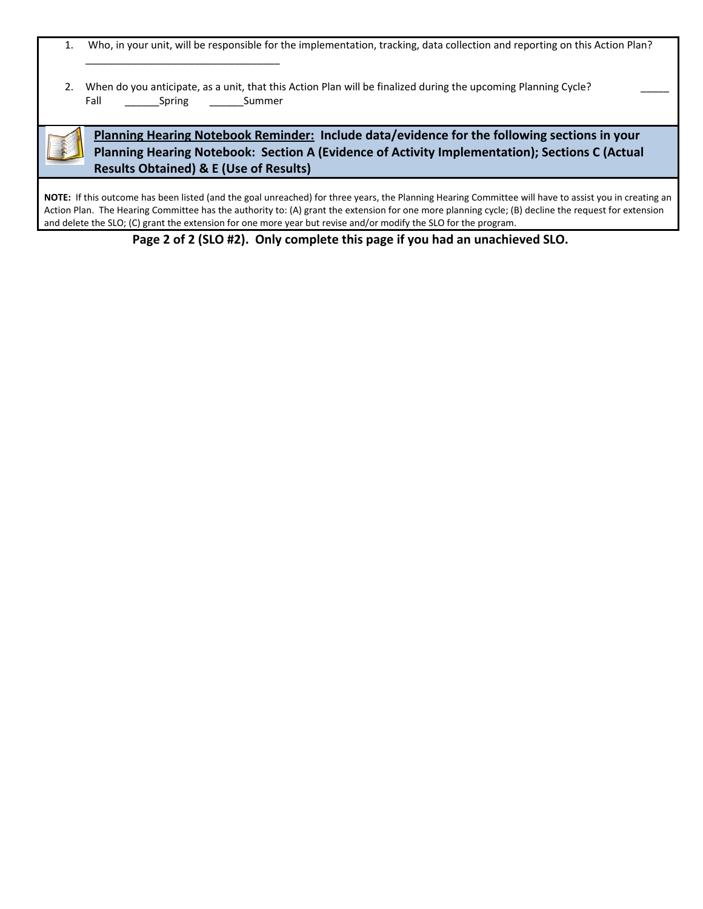|  |  |  |  |  | Who, in your unit, will be responsible for the implementation, tracking, data collection and reporting on this Action Plan? |  |
|--|--|--|--|--|-----------------------------------------------------------------------------------------------------------------------------|--|
|--|--|--|--|--|-----------------------------------------------------------------------------------------------------------------------------|--|

|      |                |        | 2. When do you anticipate, as a unit, that this Action Plan will be finalized during the upcoming Planning Cycle? |  |
|------|----------------|--------|-------------------------------------------------------------------------------------------------------------------|--|
| Fall | ________Spring | Summer |                                                                                                                   |  |

\_\_\_\_\_\_\_\_\_\_\_\_\_\_\_\_\_\_\_\_\_\_\_\_\_\_\_\_\_\_\_\_\_\_

**Planning Hearing Notebook Reminder: Include data/evidence for the following sections in your Planning Hearing Notebook: Section A (Evidence of Activity Implementation); Sections C (Actual Results Obtained) & E (Use of Results)**

NOTE: If this outcome has been listed (and the goal unreached) for three years, the Planning Hearing Committee will have to assist you in creating an Action Plan. The Hearing Committee has the authority to: (A) grant the extension for one more planning cycle; (B) decline the request for extension and delete the SLO; (C) grant the extension for one more year but revise and/or modify the SLO for the program.

Page 2 of 2 (SLO #2). Only complete this page if you had an unachieved SLO.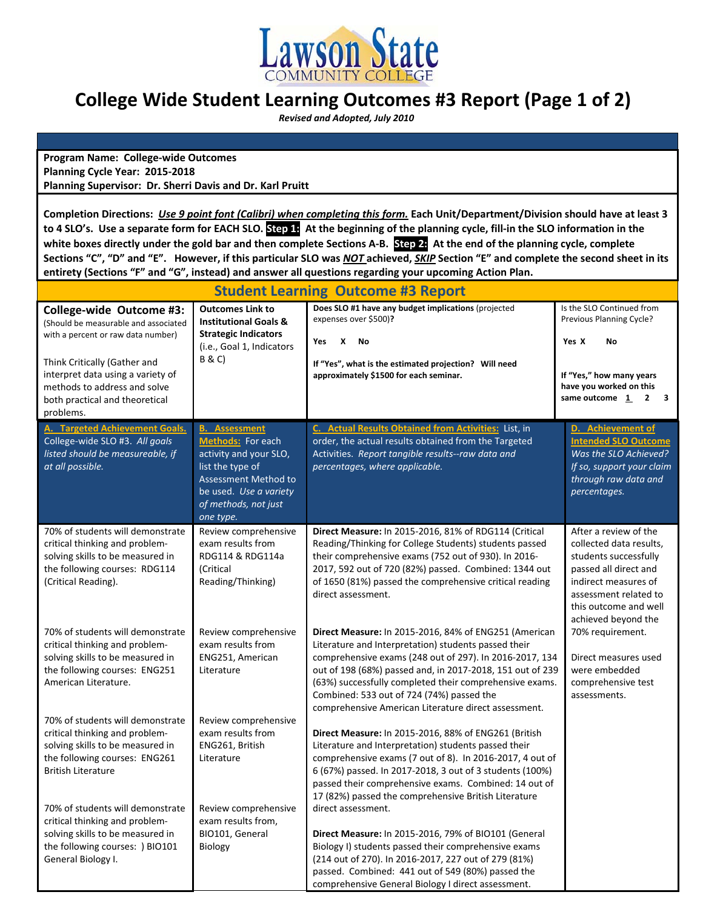

# **College Wide Student Learning Outcomes #3 Report (Page 1 of 2)**

 *Revised and Adopted, July 2010*

**Program Name: College‐wide Outcomes Planning Cycle Year: 2015‐2018 Planning Supervisor: Dr. Sherri Davis and Dr. Karl Pruitt**

Completion Directions: Use 9 point font (Calibri) when completing this form. Each Unit/Department/Division should have at least 3 to 4 SLO's. Use a separate form for EACH SLO. Step 1: At the beginning of the planning cycle, fill-in the SLO information in the white boxes directly under the gold bar and then complete Sections A-B. Step 24 At the end of the planning cycle, complete Sections "C", "D" and "E". However, if this particular SLO was NOT achieved, SKIP Section "E" and complete the second sheet in its **entirety (Sections "F" and "G", instead) and answer all questions regarding your upcoming Action Plan.** 

| <b>Student Learning Outcome #3 Report</b>                                                                                                                                                                                                                  |                                                                                                                                                                                |                                                                                                                                                                                                                                                                                                                                                                                                       |                                                                                                                                                                                                     |  |
|------------------------------------------------------------------------------------------------------------------------------------------------------------------------------------------------------------------------------------------------------------|--------------------------------------------------------------------------------------------------------------------------------------------------------------------------------|-------------------------------------------------------------------------------------------------------------------------------------------------------------------------------------------------------------------------------------------------------------------------------------------------------------------------------------------------------------------------------------------------------|-----------------------------------------------------------------------------------------------------------------------------------------------------------------------------------------------------|--|
| College-wide Outcome #3:<br>(Should be measurable and associated<br>with a percent or raw data number)<br>Think Critically (Gather and<br>interpret data using a variety of<br>methods to address and solve<br>both practical and theoretical<br>problems. | <b>Outcomes Link to</b><br><b>Institutional Goals &amp;</b><br><b>Strategic Indicators</b><br>(i.e., Goal 1, Indicators<br>B & C)                                              | Does SLO #1 have any budget implications (projected<br>expenses over \$500)?<br>X<br>Yes<br>No<br>If "Yes", what is the estimated projection? Will need<br>approximately \$1500 for each seminar.                                                                                                                                                                                                     | Is the SLO Continued from<br>Previous Planning Cycle?<br>Yes X<br>No<br>If "Yes," how many years<br>have you worked on this<br>$2 \quad 3$<br>same outcome 1                                        |  |
| A. Targeted Achievement Goals.<br>College-wide SLO #3. All goals<br>listed should be measureable, if<br>at all possible.                                                                                                                                   | <b>B.</b> Assessment<br>Methods: For each<br>activity and your SLO,<br>list the type of<br>Assessment Method to<br>be used. Use a variety<br>of methods, not just<br>one type. | C. Actual Results Obtained from Activities: List, in<br>order, the actual results obtained from the Targeted<br>Activities. Report tangible results--raw data and<br>percentages, where applicable.                                                                                                                                                                                                   | D. Achievement of<br><b>Intended SLO Outcome</b><br>Was the SLO Achieved?<br>If so, support your claim<br>through raw data and<br>percentages.                                                      |  |
| 70% of students will demonstrate<br>critical thinking and problem-<br>solving skills to be measured in<br>the following courses: RDG114<br>(Critical Reading).                                                                                             | Review comprehensive<br>exam results from<br>RDG114 & RDG114a<br>(Critical<br>Reading/Thinking)                                                                                | Direct Measure: In 2015-2016, 81% of RDG114 (Critical<br>Reading/Thinking for College Students) students passed<br>their comprehensive exams (752 out of 930). In 2016-<br>2017, 592 out of 720 (82%) passed. Combined: 1344 out<br>of 1650 (81%) passed the comprehensive critical reading<br>direct assessment.                                                                                     | After a review of the<br>collected data results,<br>students successfully<br>passed all direct and<br>indirect measures of<br>assessment related to<br>this outcome and well<br>achieved beyond the |  |
| 70% of students will demonstrate<br>critical thinking and problem-<br>solving skills to be measured in<br>the following courses: ENG251<br>American Literature.                                                                                            | Review comprehensive<br>exam results from<br>ENG251, American<br>Literature                                                                                                    | Direct Measure: In 2015-2016, 84% of ENG251 (American<br>Literature and Interpretation) students passed their<br>comprehensive exams (248 out of 297). In 2016-2017, 134<br>out of 198 (68%) passed and, in 2017-2018, 151 out of 239<br>(63%) successfully completed their comprehensive exams.<br>Combined: 533 out of 724 (74%) passed the<br>comprehensive American Literature direct assessment. | 70% requirement.<br>Direct measures used<br>were embedded<br>comprehensive test<br>assessments.                                                                                                     |  |
| 70% of students will demonstrate<br>critical thinking and problem-<br>solving skills to be measured in<br>the following courses: ENG261<br><b>British Literature</b><br>70% of students will demonstrate                                                   | Review comprehensive<br>exam results from<br>ENG261, British<br>Literature                                                                                                     | Direct Measure: In 2015-2016, 88% of ENG261 (British<br>Literature and Interpretation) students passed their<br>comprehensive exams (7 out of 8). In 2016-2017, 4 out of<br>6 (67%) passed. In 2017-2018, 3 out of 3 students (100%)<br>passed their comprehensive exams. Combined: 14 out of<br>17 (82%) passed the comprehensive British Literature                                                 |                                                                                                                                                                                                     |  |
| critical thinking and problem-<br>solving skills to be measured in<br>the following courses: ) BIO101<br>General Biology I.                                                                                                                                | Review comprehensive<br>exam results from,<br>BIO101, General<br>Biology                                                                                                       | direct assessment.<br>Direct Measure: In 2015-2016, 79% of BIO101 (General<br>Biology I) students passed their comprehensive exams<br>(214 out of 270). In 2016-2017, 227 out of 279 (81%)<br>passed. Combined: 441 out of 549 (80%) passed the<br>comprehensive General Biology I direct assessment.                                                                                                 |                                                                                                                                                                                                     |  |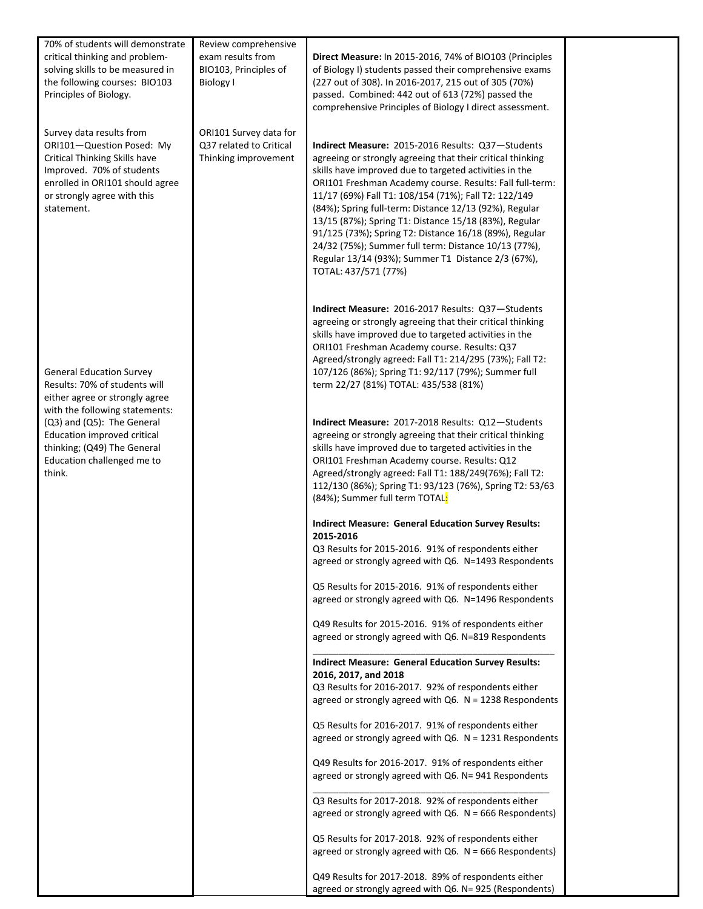| 70% of students will demonstrate<br>critical thinking and problem-<br>solving skills to be measured in<br>the following courses: BIO103<br>Principles of Biology.                                   | Review comprehensive<br>exam results from<br>BIO103, Principles of<br><b>Biology I</b> | Direct Measure: In 2015-2016, 74% of BIO103 (Principles<br>of Biology I) students passed their comprehensive exams<br>(227 out of 308). In 2016-2017, 215 out of 305 (70%)<br>passed. Combined: 442 out of 613 (72%) passed the<br>comprehensive Principles of Biology I direct assessment.                                                                                                                                                                                                                                                                                                                      |  |
|-----------------------------------------------------------------------------------------------------------------------------------------------------------------------------------------------------|----------------------------------------------------------------------------------------|------------------------------------------------------------------------------------------------------------------------------------------------------------------------------------------------------------------------------------------------------------------------------------------------------------------------------------------------------------------------------------------------------------------------------------------------------------------------------------------------------------------------------------------------------------------------------------------------------------------|--|
| Survey data results from<br>ORI101-Question Posed: My<br>Critical Thinking Skills have<br>Improved. 70% of students<br>enrolled in ORI101 should agree<br>or strongly agree with this<br>statement. | ORI101 Survey data for<br>Q37 related to Critical<br>Thinking improvement              | Indirect Measure: 2015-2016 Results: Q37-Students<br>agreeing or strongly agreeing that their critical thinking<br>skills have improved due to targeted activities in the<br>ORI101 Freshman Academy course. Results: Fall full-term:<br>11/17 (69%) Fall T1: 108/154 (71%); Fall T2: 122/149<br>(84%); Spring full-term: Distance 12/13 (92%), Regular<br>13/15 (87%); Spring T1: Distance 15/18 (83%), Regular<br>91/125 (73%); Spring T2: Distance 16/18 (89%), Regular<br>24/32 (75%); Summer full term: Distance 10/13 (77%),<br>Regular 13/14 (93%); Summer T1 Distance 2/3 (67%),<br>TOTAL: 437/571 (77%) |  |
| <b>General Education Survey</b><br>Results: 70% of students will<br>either agree or strongly agree                                                                                                  |                                                                                        | Indirect Measure: 2016-2017 Results: Q37-Students<br>agreeing or strongly agreeing that their critical thinking<br>skills have improved due to targeted activities in the<br>ORI101 Freshman Academy course. Results: Q37<br>Agreed/strongly agreed: Fall T1: 214/295 (73%); Fall T2:<br>107/126 (86%); Spring T1: 92/117 (79%); Summer full<br>term 22/27 (81%) TOTAL: 435/538 (81%)                                                                                                                                                                                                                            |  |
| with the following statements:<br>(Q3) and (Q5): The General<br>Education improved critical<br>thinking; (Q49) The General<br>Education challenged me to<br>think.                                  |                                                                                        | Indirect Measure: 2017-2018 Results: Q12-Students<br>agreeing or strongly agreeing that their critical thinking<br>skills have improved due to targeted activities in the<br>ORI101 Freshman Academy course. Results: Q12<br>Agreed/strongly agreed: Fall T1: 188/249(76%); Fall T2:<br>112/130 (86%); Spring T1: 93/123 (76%), Spring T2: 53/63<br>(84%); Summer full term TOTAL <mark>:</mark>                                                                                                                                                                                                                 |  |
|                                                                                                                                                                                                     |                                                                                        | <b>Indirect Measure: General Education Survey Results:</b><br>2015-2016<br>Q3 Results for 2015-2016. 91% of respondents either<br>agreed or strongly agreed with Q6. N=1493 Respondents                                                                                                                                                                                                                                                                                                                                                                                                                          |  |
|                                                                                                                                                                                                     |                                                                                        | Q5 Results for 2015-2016. 91% of respondents either<br>agreed or strongly agreed with Q6. N=1496 Respondents                                                                                                                                                                                                                                                                                                                                                                                                                                                                                                     |  |
|                                                                                                                                                                                                     |                                                                                        | Q49 Results for 2015-2016. 91% of respondents either<br>agreed or strongly agreed with Q6. N=819 Respondents                                                                                                                                                                                                                                                                                                                                                                                                                                                                                                     |  |
|                                                                                                                                                                                                     |                                                                                        | <b>Indirect Measure: General Education Survey Results:</b><br>2016, 2017, and 2018<br>Q3 Results for 2016-2017. 92% of respondents either<br>agreed or strongly agreed with $Q6. N = 1238$ Respondents                                                                                                                                                                                                                                                                                                                                                                                                           |  |
|                                                                                                                                                                                                     |                                                                                        | Q5 Results for 2016-2017. 91% of respondents either<br>agreed or strongly agreed with $Q6. N = 1231$ Respondents                                                                                                                                                                                                                                                                                                                                                                                                                                                                                                 |  |
|                                                                                                                                                                                                     |                                                                                        | Q49 Results for 2016-2017. 91% of respondents either<br>agreed or strongly agreed with Q6. N= 941 Respondents                                                                                                                                                                                                                                                                                                                                                                                                                                                                                                    |  |
|                                                                                                                                                                                                     |                                                                                        | Q3 Results for 2017-2018. 92% of respondents either<br>agreed or strongly agreed with $Q6$ . N = 666 Respondents)                                                                                                                                                                                                                                                                                                                                                                                                                                                                                                |  |
|                                                                                                                                                                                                     |                                                                                        | Q5 Results for 2017-2018. 92% of respondents either<br>agreed or strongly agreed with $Q6$ . N = 666 Respondents)                                                                                                                                                                                                                                                                                                                                                                                                                                                                                                |  |
|                                                                                                                                                                                                     |                                                                                        | Q49 Results for 2017-2018. 89% of respondents either<br>agreed or strongly agreed with Q6. N= 925 (Respondents)                                                                                                                                                                                                                                                                                                                                                                                                                                                                                                  |  |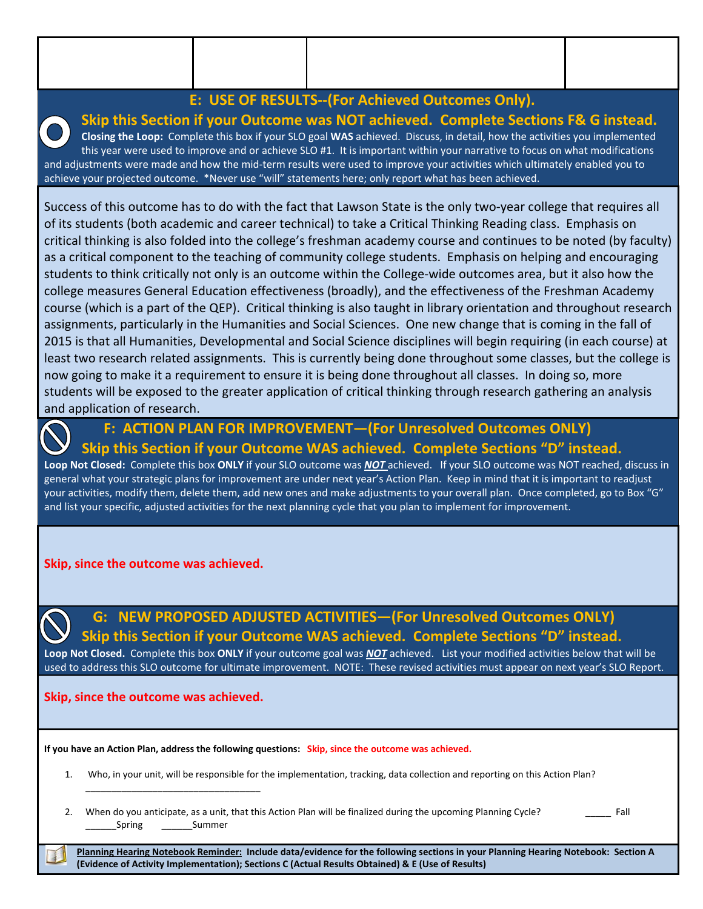### **E: USE OF RESULTS‐‐(For Achieved Outcomes Only).**

### **Skip this Section if your Outcome was NOT achieved. Complete Sections F& G instead.**

**Closing the Loop:** Complete this box if your SLO goal **WAS** achieved. Discuss, in detail, how the activities you implemented this year were used to improve and or achieve SLO #1. It is important within your narrative to focus on what modifications and adjustments were made and how the mid‐term results were used to improve your activities which ultimately enabled you to achieve your projected outcome. \*Never use "will" statements here; only report what has been achieved.

Success of this outcome has to do with the fact that Lawson State is the only two-year college that requires all of its students (both academic and career technical) to take a Critical Thinking Reading class. Emphasis on critical thinking is also folded into the college's freshman academy course and continues to be noted (by faculty) as a critical component to the teaching of community college students. Emphasis on helping and encouraging students to think critically not only is an outcome within the College‐wide outcomes area, but it also how the college measures General Education effectiveness (broadly), and the effectiveness of the Freshman Academy course (which is a part of the QEP). Critical thinking is also taught in library orientation and throughout research assignments, particularly in the Humanities and Social Sciences. One new change that is coming in the fall of 2015 is that all Humanities, Developmental and Social Science disciplines will begin requiring (in each course) at least two research related assignments. This is currently being done throughout some classes, but the college is now going to make it a requirement to ensure it is being done throughout all classes. In doing so, more students will be exposed to the greater application of critical thinking through research gathering an analysis and application of research.

## **F: ACTION PLAN FOR IMPROVEMENT—(For Unresolved Outcomes ONLY) Skip this Section if your Outcome WAS achieved. Complete Sections "D" instead.**

**Loop Not Closed:** Complete this box **ONLY** if your SLO outcome was *NOT* achieved. If your SLO outcome was NOT reached, discuss in general what your strategic plans for improvement are under next year's Action Plan. Keep in mind that it is important to readjust your activities, modify them, delete them, add new ones and make adjustments to your overall plan. Once completed, go to Box "G" and list your specific, adjusted activities for the next planning cycle that you plan to implement for improvement.

### **Skip, since the outcome was achieved.**

 **G: NEW PROPOSED ADJUSTED ACTIVITIES—(For Unresolved Outcomes ONLY) Skip this Section if your Outcome WAS achieved. Complete Sections "D" instead.**

**Loop Not Closed.** Complete this box **ONLY** if your outcome goal was *NOT* achieved. List your modified activities below that will be used to address this SLO outcome for ultimate improvement. NOTE: These revised activities must appear on next year's SLO Report.

### **Skip, since the outcome was achieved.**

\_\_\_\_\_\_\_\_\_\_\_\_\_\_\_\_\_\_\_\_\_\_\_\_\_\_\_\_\_\_\_\_\_\_

**If you have an Action Plan, address the following questions: Skip, since the outcome was achieved.**

- 1. Who, in your unit, will be responsible for the implementation, tracking, data collection and reporting on this Action Plan?
- 2. When do you anticipate, as a unit, that this Action Plan will be finalized during the upcoming Planning Cycle? **Eall** Spring Summer

Planning Hearing Notebook Reminder: Include data/evidence for the following sections in your Planning Hearing Notebook: Section A **(Evidence of Activity Implementation); Sections C (Actual Results Obtained) & E (Use of Results)**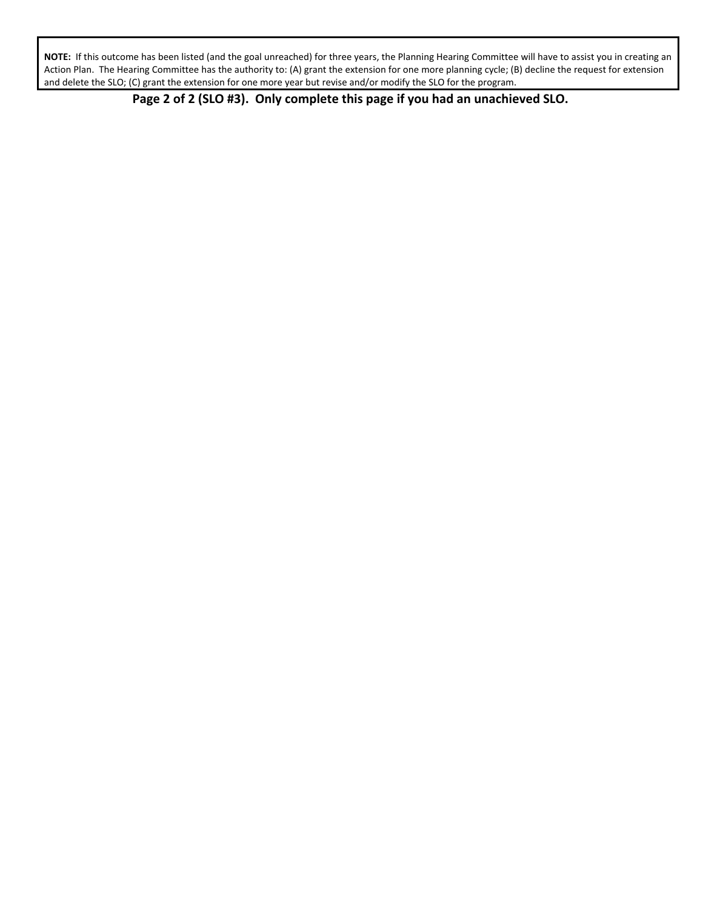NOTE: If this outcome has been listed (and the goal unreached) for three years, the Planning Hearing Committee will have to assist you in creating an Action Plan. The Hearing Committee has the authority to: (A) grant the extension for one more planning cycle; (B) decline the request for extension and delete the SLO; (C) grant the extension for one more year but revise and/or modify the SLO for the program.

 **Page 2 of 2 (SLO #3). Only complete this page if you had an unachieved SLO.**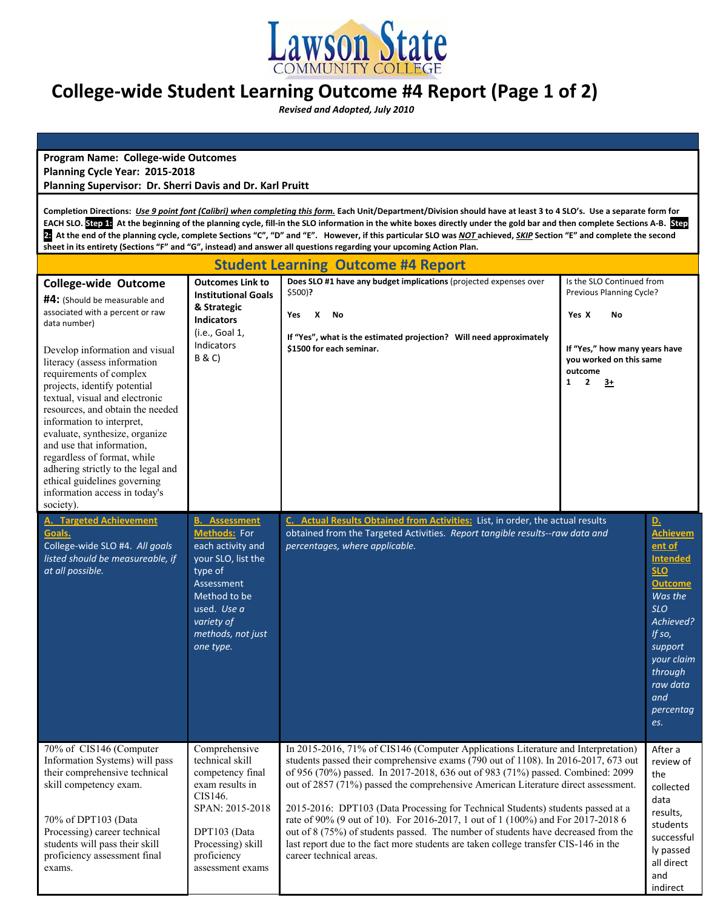

# **College‐wide Student Learning Outcome #4 Report (Page 1 of 2)**

 *Revised and Adopted, July 2010*

**Program Name: College‐wide Outcomes Planning Cycle Year: 2015‐2018 Planning Supervisor: Dr. Sherri Davis and Dr. Karl Pruitt**

Completion Directions: Use 9 point font (Calibri) when completing this form. Each Unit/Department/Division should have at least 3 to 4 SLO's. Use a separate form for EACH SLO. Step 1: At the beginning of the planning cycle, fill-in the SLO information in the white boxes directly under the gold bar and then complete Sections A-B. Step 2. At the end of the planning cycle, complete Sections "C", "D" and "E". However, if this particular SLO was NOT achieved, SKIP Section "E" and complete the second sheet in its entirety (Sections "F" and "G", instead) and answer all questions regarding your upcoming Action Plan.

| <b>Student Learning Outcome #4 Report</b>                                                                                                                                                                                                                                                                                                                                                                                                                                                                                                                          |                                                                                                                                                                                         |                                                                                                                                                                                                                                                                                                                                                                                                                                                                                                                                                                                                                                                                                                                             |                                                                                                                                                                   |                                                                                                                                                                                                                                         |  |  |
|--------------------------------------------------------------------------------------------------------------------------------------------------------------------------------------------------------------------------------------------------------------------------------------------------------------------------------------------------------------------------------------------------------------------------------------------------------------------------------------------------------------------------------------------------------------------|-----------------------------------------------------------------------------------------------------------------------------------------------------------------------------------------|-----------------------------------------------------------------------------------------------------------------------------------------------------------------------------------------------------------------------------------------------------------------------------------------------------------------------------------------------------------------------------------------------------------------------------------------------------------------------------------------------------------------------------------------------------------------------------------------------------------------------------------------------------------------------------------------------------------------------------|-------------------------------------------------------------------------------------------------------------------------------------------------------------------|-----------------------------------------------------------------------------------------------------------------------------------------------------------------------------------------------------------------------------------------|--|--|
| <b>College-wide Outcome</b><br>#4: (Should be measurable and<br>associated with a percent or raw<br>data number)<br>Develop information and visual<br>literacy (assess information<br>requirements of complex<br>projects, identify potential<br>textual, visual and electronic<br>resources, and obtain the needed<br>information to interpret,<br>evaluate, synthesize, organize<br>and use that information,<br>regardless of format, while<br>adhering strictly to the legal and<br>ethical guidelines governing<br>information access in today's<br>society). | <b>Outcomes Link to</b><br><b>Institutional Goals</b><br>& Strategic<br><b>Indicators</b><br>(i.e., Goal 1,<br>Indicators<br>B & C)                                                     | Does SLO #1 have any budget implications (projected expenses over<br>\$500)?<br>X<br>Yes<br>No<br>If "Yes", what is the estimated projection? Will need approximately<br>\$1500 for each seminar.                                                                                                                                                                                                                                                                                                                                                                                                                                                                                                                           | Is the SLO Continued from<br>Previous Planning Cycle?<br>Yes X<br>No<br>If "Yes," how many years have<br>you worked on this same<br>outcome<br>$1\quad 2$<br>$3+$ |                                                                                                                                                                                                                                         |  |  |
| <b>A. Targeted Achievement</b><br>Goals.<br>College-wide SLO #4. All goals<br>listed should be measureable, if<br>at all possible.                                                                                                                                                                                                                                                                                                                                                                                                                                 | <b>B.</b> Assessment<br>Methods: For<br>each activity and<br>your SLO, list the<br>type of<br>Assessment<br>Method to be<br>used. Use a<br>variety of<br>methods, not just<br>one type. | C. Actual Results Obtained from Activities: List, in order, the actual results<br>obtained from the Targeted Activities. Report tangible results--raw data and<br>percentages, where applicable.                                                                                                                                                                                                                                                                                                                                                                                                                                                                                                                            |                                                                                                                                                                   | $\underline{\mathbf{D}}$ .<br><b>Achievem</b><br>ent of<br><b>Intended</b><br><b>SLO</b><br><b>Outcome</b><br>Was the<br><b>SLO</b><br>Achieved?<br>If $so,$<br>support<br>your claim<br>through<br>raw data<br>and<br>percentag<br>es. |  |  |
| 70% of CIS146 (Computer<br>Information Systems) will pass<br>their comprehensive technical<br>skill competency exam.<br>70% of DPT103 (Data<br>Processing) career technical<br>students will pass their skill<br>proficiency assessment final<br>exams.                                                                                                                                                                                                                                                                                                            | Comprehensive<br>technical skill<br>competency final<br>exam results in<br>CIS146.<br>SPAN: 2015-2018<br>DPT103 (Data<br>Processing) skill<br>proficiency<br>assessment exams           | In 2015-2016, 71% of CIS146 (Computer Applications Literature and Interpretation)<br>students passed their comprehensive exams (790 out of 1108). In 2016-2017, 673 out<br>of 956 (70%) passed. In 2017-2018, 636 out of 983 (71%) passed. Combined: 2099<br>out of 2857 (71%) passed the comprehensive American Literature direct assessment.<br>2015-2016: DPT103 (Data Processing for Technical Students) students passed at a<br>rate of 90% (9 out of 10). For 2016-2017, 1 out of 1 (100%) and For 2017-2018 6<br>out of 8 (75%) of students passed. The number of students have decreased from the<br>last report due to the fact more students are taken college transfer CIS-146 in the<br>career technical areas. |                                                                                                                                                                   | After a<br>review of<br>the<br>collected<br>data<br>results,<br>students<br>successful<br>ly passed<br>all direct<br>and<br>indirect                                                                                                    |  |  |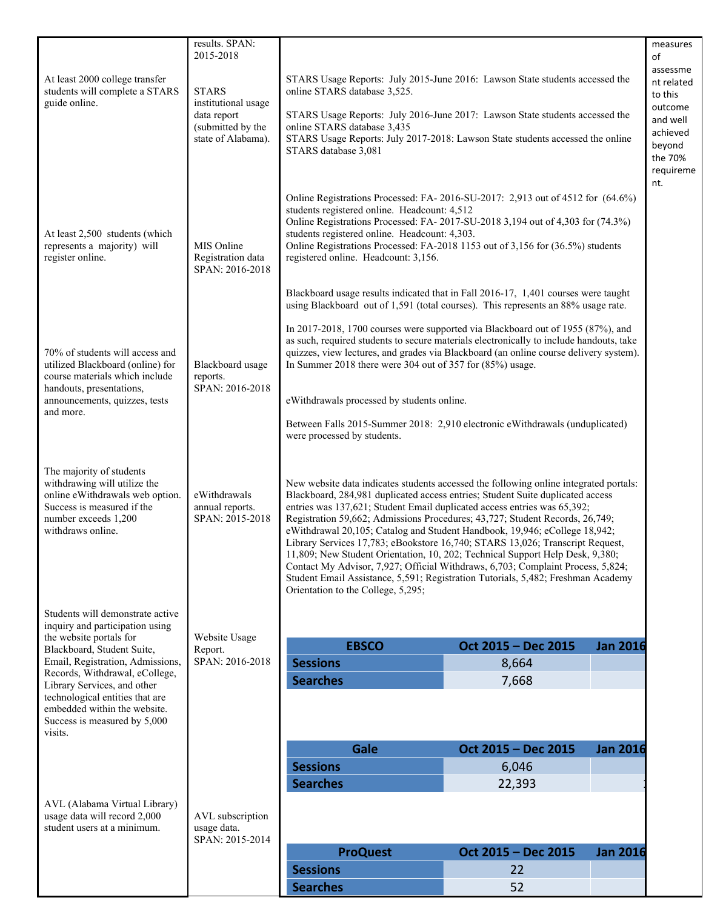|                                                                     | results. SPAN:<br>2015-2018                        |                                                                                                                                                                            |                     | measures<br>οf<br>assessme |  |  |
|---------------------------------------------------------------------|----------------------------------------------------|----------------------------------------------------------------------------------------------------------------------------------------------------------------------------|---------------------|----------------------------|--|--|
| At least 2000 college transfer<br>students will complete a STARS    | <b>STARS</b><br>institutional usage<br>data report | STARS Usage Reports: July 2015-June 2016: Lawson State students accessed the<br>online STARS database 3,525.                                                               |                     |                            |  |  |
| guide online.                                                       |                                                    | STARS Usage Reports: July 2016-June 2017: Lawson State students accessed the                                                                                               |                     | outcome<br>and well        |  |  |
|                                                                     | (submitted by the<br>state of Alabama).            | online STARS database 3,435<br>STARS Usage Reports: July 2017-2018: Lawson State students accessed the online                                                              |                     | achieved                   |  |  |
|                                                                     |                                                    | STARS database 3,081                                                                                                                                                       |                     | beyond<br>the 70%          |  |  |
|                                                                     |                                                    |                                                                                                                                                                            |                     | requireme<br>nt.           |  |  |
|                                                                     |                                                    | Online Registrations Processed: FA-2016-SU-2017: 2,913 out of 4512 for (64.6%)                                                                                             |                     |                            |  |  |
|                                                                     |                                                    | students registered online. Headcount: 4,512<br>Online Registrations Processed: FA-2017-SU-2018 3,194 out of 4,303 for (74.3%)                                             |                     |                            |  |  |
| At least 2,500 students (which<br>represents a majority) will       | MIS Online                                         | students registered online. Headcount: 4,303.<br>Online Registrations Processed: FA-2018 1153 out of 3,156 for (36.5%) students                                            |                     |                            |  |  |
| register online.                                                    | Registration data<br>SPAN: 2016-2018               | registered online. Headcount: 3,156.                                                                                                                                       |                     |                            |  |  |
|                                                                     |                                                    | Blackboard usage results indicated that in Fall 2016-17, 1,401 courses were taught                                                                                         |                     |                            |  |  |
|                                                                     |                                                    | using Blackboard out of 1,591 (total courses). This represents an 88% usage rate.                                                                                          |                     |                            |  |  |
|                                                                     | Blackboard usage<br>reports.<br>SPAN: 2016-2018    | In 2017-2018, 1700 courses were supported via Blackboard out of 1955 (87%), and<br>as such, required students to secure materials electronically to include handouts, take |                     |                            |  |  |
| 70% of students will access and<br>utilized Blackboard (online) for |                                                    | quizzes, view lectures, and grades via Blackboard (an online course delivery system).<br>In Summer 2018 there were 304 out of 357 for $(85%)$ usage.                       |                     |                            |  |  |
| course materials which include<br>handouts, presentations,          |                                                    |                                                                                                                                                                            |                     |                            |  |  |
| announcements, quizzes, tests                                       |                                                    | eWithdrawals processed by students online.<br>Between Falls 2015-Summer 2018: 2,910 electronic eWithdrawals (unduplicated)                                                 |                     |                            |  |  |
| and more.                                                           |                                                    |                                                                                                                                                                            |                     |                            |  |  |
|                                                                     |                                                    | were processed by students.                                                                                                                                                |                     |                            |  |  |
| The majority of students                                            |                                                    |                                                                                                                                                                            |                     |                            |  |  |
| withdrawing will utilize the<br>online eWithdrawals web option.     | eWithdrawals                                       | New website data indicates students accessed the following online integrated portals:<br>Blackboard, 284,981 duplicated access entries; Student Suite duplicated access    |                     |                            |  |  |
| Success is measured if the<br>number exceeds 1,200                  | annual reports.<br>SPAN: 2015-2018                 | entries was 137,621; Student Email duplicated access entries was 65,392;<br>Registration 59,662; Admissions Procedures; 43,727; Student Records, 26,749;                   |                     |                            |  |  |
| withdraws online.                                                   |                                                    | eWithdrawal 20,105; Catalog and Student Handbook, 19,946; eCollege 18,942;<br>Library Services 17,783; eBookstore 16,740; STARS 13,026; Transcript Request,                |                     |                            |  |  |
|                                                                     |                                                    | 11,809; New Student Orientation, 10, 202; Technical Support Help Desk, 9,380;                                                                                              |                     |                            |  |  |
|                                                                     |                                                    | Contact My Advisor, 7,927; Official Withdraws, 6,703; Complaint Process, 5,824;<br>Student Email Assistance, 5,591; Registration Tutorials, 5,482; Freshman Academy        |                     |                            |  |  |
|                                                                     |                                                    | Orientation to the College, 5,295;                                                                                                                                         |                     |                            |  |  |
| Students will demonstrate active<br>inquiry and participation using |                                                    |                                                                                                                                                                            |                     |                            |  |  |
| the website portals for<br>Blackboard, Student Suite,               | Website Usage<br>Report.                           | <b>EBSCO</b>                                                                                                                                                               | Oct 2015 - Dec 2015 | <b>Jan 2016</b>            |  |  |
| Email, Registration, Admissions,<br>Records, Withdrawal, eCollege,  | SPAN: 2016-2018                                    | <b>Sessions</b>                                                                                                                                                            | 8,664               |                            |  |  |
| Library Services, and other<br>technological entities that are      |                                                    | <b>Searches</b>                                                                                                                                                            | 7,668               |                            |  |  |
| embedded within the website.<br>Success is measured by 5,000        |                                                    |                                                                                                                                                                            |                     |                            |  |  |
| visits.                                                             |                                                    |                                                                                                                                                                            |                     |                            |  |  |
|                                                                     |                                                    | Gale                                                                                                                                                                       | Oct 2015 - Dec 2015 | <b>Jan 2016</b>            |  |  |
|                                                                     |                                                    | <b>Sessions</b><br><b>Searches</b>                                                                                                                                         | 6,046<br>22,393     |                            |  |  |
| AVL (Alabama Virtual Library)                                       |                                                    |                                                                                                                                                                            |                     |                            |  |  |
| usage data will record 2,000<br>student users at a minimum.         | AVL subscription<br>usage data.                    |                                                                                                                                                                            |                     |                            |  |  |
|                                                                     | SPAN: 2015-2014                                    | <b>ProQuest</b>                                                                                                                                                            | Oct 2015 - Dec 2015 | <b>Jan 2016</b>            |  |  |
|                                                                     |                                                    | <b>Sessions</b>                                                                                                                                                            | 22                  |                            |  |  |
|                                                                     |                                                    | <b>Searches</b>                                                                                                                                                            | 52                  |                            |  |  |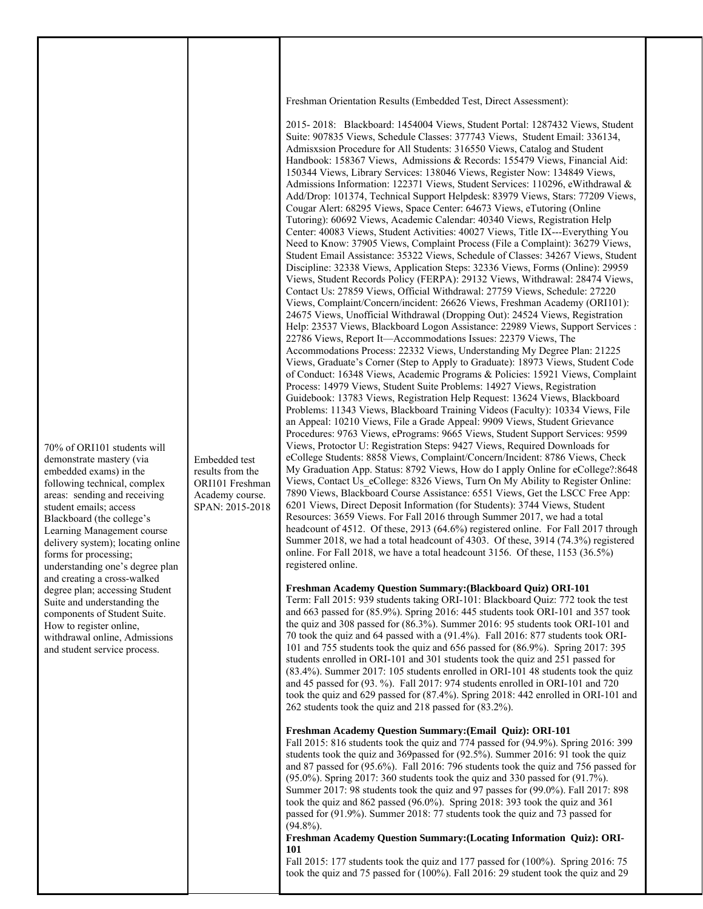Freshman Orientation Results (Embedded Test, Direct Assessment):

2015- 2018: Blackboard: 1454004 Views, Student Portal: 1287432 Views, Student Suite: 907835 Views, Schedule Classes: 377743 Views, Student Email: 336134, Admisxsion Procedure for All Students: 316550 Views, Catalog and Student Handbook: 158367 Views, Admissions & Records: 155479 Views, Financial Aid: 150344 Views, Library Services: 138046 Views, Register Now: 134849 Views, Admissions Information: 122371 Views, Student Services: 110296, eWithdrawal & Add/Drop: 101374, Technical Support Helpdesk: 83979 Views, Stars: 77209 Views, Cougar Alert: 68295 Views, Space Center: 64673 Views, eTutoring (Online Tutoring): 60692 Views, Academic Calendar: 40340 Views, Registration Help Center: 40083 Views, Student Activities: 40027 Views, Title IX---Everything You Need to Know: 37905 Views, Complaint Process (File a Complaint): 36279 Views, Student Email Assistance: 35322 Views, Schedule of Classes: 34267 Views, Student Discipline: 32338 Views, Application Steps: 32336 Views, Forms (Online): 29959 Views, Student Records Policy (FERPA): 29132 Views, Withdrawal: 28474 Views, Contact Us: 27859 Views, Official Withdrawal: 27759 Views, Schedule: 27220 Views, Complaint/Concern/incident: 26626 Views, Freshman Academy (ORI101): 24675 Views, Unofficial Withdrawal (Dropping Out): 24524 Views, Registration Help: 23537 Views, Blackboard Logon Assistance: 22989 Views, Support Services : 22786 Views, Report It—Accommodations Issues: 22379 Views, The Accommodations Process: 22332 Views, Understanding My Degree Plan: 21225 Views, Graduate's Corner (Step to Apply to Graduate): 18973 Views, Student Code of Conduct: 16348 Views, Academic Programs & Policies: 15921 Views, Complaint Process: 14979 Views, Student Suite Problems: 14927 Views, Registration Guidebook: 13783 Views, Registration Help Request: 13624 Views, Blackboard Problems: 11343 Views, Blackboard Training Videos (Faculty): 10334 Views, File an Appeal: 10210 Views, File a Grade Appeal: 9909 Views, Student Grievance Procedures: 9763 Views, ePrograms: 9665 Views, Student Support Services: 9599 Views, Protoctor U: Registration Steps: 9427 Views, Required Downloads for eCollege Students: 8858 Views, Complaint/Concern/Incident: 8786 Views, Check My Graduation App. Status: 8792 Views, How do I apply Online for eCollege?:8648 Views, Contact Us\_eCollege: 8326 Views, Turn On My Ability to Register Online: 7890 Views, Blackboard Course Assistance: 6551 Views, Get the LSCC Free App: 6201 Views, Direct Deposit Information (for Students): 3744 Views, Student Resources: 3659 Views. For Fall 2016 through Summer 2017, we had a total headcount of 4512. Of these, 2913 (64.6%) registered online. For Fall 2017 through Summer 2018, we had a total headcount of 4303. Of these, 3914 (74.3%) registered online. For Fall 2018, we have a total headcount 3156. Of these, 1153 (36.5%) registered online.

### **Freshman Academy Question Summary:(Blackboard Quiz) ORI-101**

Term: Fall 2015: 939 students taking ORI-101: Blackboard Quiz: 772 took the test and 663 passed for (85.9%). Spring 2016: 445 students took ORI-101 and 357 took the quiz and 308 passed for (86.3%). Summer 2016: 95 students took ORI-101 and 70 took the quiz and 64 passed with a (91.4%). Fall 2016: 877 students took ORI-101 and 755 students took the quiz and 656 passed for (86.9%). Spring 2017: 395 students enrolled in ORI-101 and 301 students took the quiz and 251 passed for (83.4%). Summer 2017: 105 students enrolled in ORI-101 48 students took the quiz and 45 passed for (93. %). Fall 2017: 974 students enrolled in ORI-101 and 720 took the quiz and 629 passed for (87.4%). Spring 2018: 442 enrolled in ORI-101 and 262 students took the quiz and 218 passed for (83.2%).

### **Freshman Academy Question Summary:(Email Quiz): ORI-101**

Fall 2015: 816 students took the quiz and 774 passed for (94.9%). Spring 2016: 399 students took the quiz and 369passed for (92.5%). Summer 2016: 91 took the quiz and 87 passed for (95.6%). Fall 2016: 796 students took the quiz and 756 passed for (95.0%). Spring 2017: 360 students took the quiz and 330 passed for (91.7%). Summer 2017: 98 students took the quiz and 97 passes for (99.0%). Fall 2017: 898 took the quiz and 862 passed (96.0%). Spring 2018: 393 took the quiz and 361 passed for (91.9%). Summer 2018: 77 students took the quiz and 73 passed for  $(94.8\%)$ .

### **Freshman Academy Question Summary:(Locating Information Quiz): ORI-101**

Fall 2015: 177 students took the quiz and 177 passed for (100%). Spring 2016: 75 took the quiz and 75 passed for (100%). Fall 2016: 29 student took the quiz and 29

embedded exams) in the following technical, complex areas: sending and receiving student emails; access Blackboard (the college's Learning Management course delivery system); locating online forms for processing; understanding one's degree plan and creating a cross-walked degree plan; accessing Student Suite and understanding the components of Student Suite. How to register online,

70% of ORI101 students will demonstrate mastery (via

withdrawal online, Admissions and student service process.

Embedded test results from the ORI101 Freshman Academy course. SPAN: 2015-2018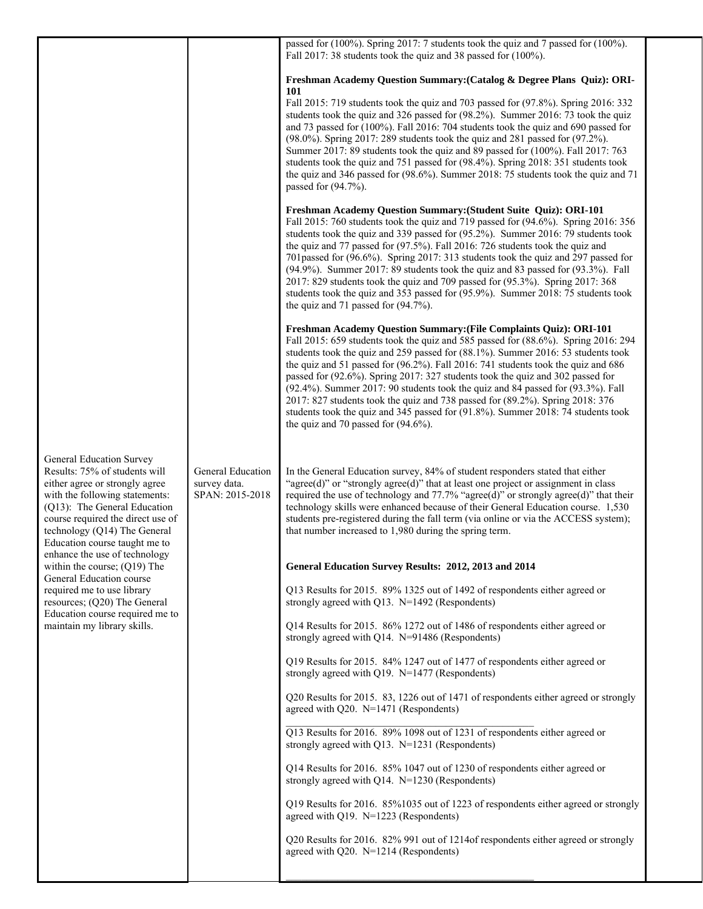|                                                      | passed for (100%). Spring 2017: 7 students took the quiz and 7 passed for (100%).<br>Fall 2017: 38 students took the quiz and 38 passed for (100%).                                                                                                                                                                                                                                                                                                                                                                                                                                                                                                                                                                    |
|------------------------------------------------------|------------------------------------------------------------------------------------------------------------------------------------------------------------------------------------------------------------------------------------------------------------------------------------------------------------------------------------------------------------------------------------------------------------------------------------------------------------------------------------------------------------------------------------------------------------------------------------------------------------------------------------------------------------------------------------------------------------------------|
| General Education<br>survey data.<br>SPAN: 2015-2018 | Freshman Academy Question Summary: (Catalog & Degree Plans Quiz): ORI-<br>101<br>Fall 2015: 719 students took the quiz and 703 passed for (97.8%). Spring 2016: 332<br>students took the quiz and 326 passed for (98.2%). Summer 2016: 73 took the quiz<br>and 73 passed for (100%). Fall 2016: 704 students took the quiz and 690 passed for<br>(98.0%). Spring 2017: 289 students took the quiz and 281 passed for (97.2%).<br>Summer 2017: 89 students took the quiz and 89 passed for (100%). Fall 2017: 763<br>students took the quiz and 751 passed for (98.4%). Spring 2018: 351 students took<br>the quiz and 346 passed for (98.6%). Summer 2018: 75 students took the quiz and 71<br>passed for $(94.7\%)$ . |
|                                                      | Freshman Academy Question Summary: (Student Suite Quiz): ORI-101<br>Fall 2015: 760 students took the quiz and 719 passed for (94.6%). Spring 2016: 356<br>students took the quiz and 339 passed for (95.2%). Summer 2016: 79 students took<br>the quiz and 77 passed for (97.5%). Fall 2016: 726 students took the quiz and<br>701passed for (96.6%). Spring 2017: 313 students took the quiz and 297 passed for<br>(94.9%). Summer 2017: 89 students took the quiz and 83 passed for (93.3%). Fall<br>2017: 829 students took the quiz and 709 passed for (95.3%). Spring 2017: 368<br>students took the quiz and 353 passed for (95.9%). Summer 2018: 75 students took<br>the quiz and 71 passed for $(94.7\%)$ .    |
|                                                      | Freshman Academy Question Summary: (File Complaints Quiz): ORI-101<br>Fall 2015: 659 students took the quiz and 585 passed for (88.6%). Spring 2016: 294<br>students took the quiz and 259 passed for (88.1%). Summer 2016: 53 students took<br>the quiz and 51 passed for (96.2%). Fall 2016: 741 students took the quiz and 686<br>passed for (92.6%). Spring 2017: 327 students took the quiz and 302 passed for<br>(92.4%). Summer 2017: 90 students took the quiz and 84 passed for (93.3%). Fall<br>2017: 827 students took the quiz and 738 passed for (89.2%). Spring 2018: 376<br>students took the quiz and 345 passed for (91.8%). Summer 2018: 74 students took<br>the quiz and 70 passed for $(94.6\%)$ . |
|                                                      | In the General Education survey, 84% of student responders stated that either<br>"agree(d)" or "strongly agree(d)" that at least one project or assignment in class<br>required the use of technology and $77.7\%$ "agree(d)" or strongly agree(d)" that their<br>technology skills were enhanced because of their General Education course. 1,530<br>students pre-registered during the fall term (via online or via the ACCESS system);<br>that number increased to 1,980 during the spring term.                                                                                                                                                                                                                    |
|                                                      | General Education Survey Results: 2012, 2013 and 2014                                                                                                                                                                                                                                                                                                                                                                                                                                                                                                                                                                                                                                                                  |
|                                                      | Q13 Results for 2015. 89% 1325 out of 1492 of respondents either agreed or<br>strongly agreed with Q13. N=1492 (Respondents)                                                                                                                                                                                                                                                                                                                                                                                                                                                                                                                                                                                           |
|                                                      | Q14 Results for 2015. 86% 1272 out of 1486 of respondents either agreed or<br>strongly agreed with Q14. N=91486 (Respondents)                                                                                                                                                                                                                                                                                                                                                                                                                                                                                                                                                                                          |
|                                                      | Q19 Results for 2015. 84% 1247 out of 1477 of respondents either agreed or<br>strongly agreed with $Q19$ . N=1477 (Respondents)                                                                                                                                                                                                                                                                                                                                                                                                                                                                                                                                                                                        |
|                                                      | Q20 Results for 2015. 83, 1226 out of 1471 of respondents either agreed or strongly<br>agreed with Q20. N=1471 (Respondents)                                                                                                                                                                                                                                                                                                                                                                                                                                                                                                                                                                                           |
|                                                      | Q13 Results for 2016. 89% 1098 out of 1231 of respondents either agreed or<br>strongly agreed with Q13. N=1231 (Respondents)                                                                                                                                                                                                                                                                                                                                                                                                                                                                                                                                                                                           |
|                                                      | Q14 Results for 2016. 85% 1047 out of 1230 of respondents either agreed or<br>strongly agreed with Q14. N=1230 (Respondents)                                                                                                                                                                                                                                                                                                                                                                                                                                                                                                                                                                                           |
|                                                      | Q19 Results for 2016. 85%1035 out of 1223 of respondents either agreed or strongly<br>agreed with Q19. N=1223 (Respondents)                                                                                                                                                                                                                                                                                                                                                                                                                                                                                                                                                                                            |
|                                                      | Q20 Results for 2016. 82% 991 out of 1214 of respondents either agreed or strongly<br>agreed with $Q20$ . N=1214 (Respondents)                                                                                                                                                                                                                                                                                                                                                                                                                                                                                                                                                                                         |
|                                                      |                                                                                                                                                                                                                                                                                                                                                                                                                                                                                                                                                                                                                                                                                                                        |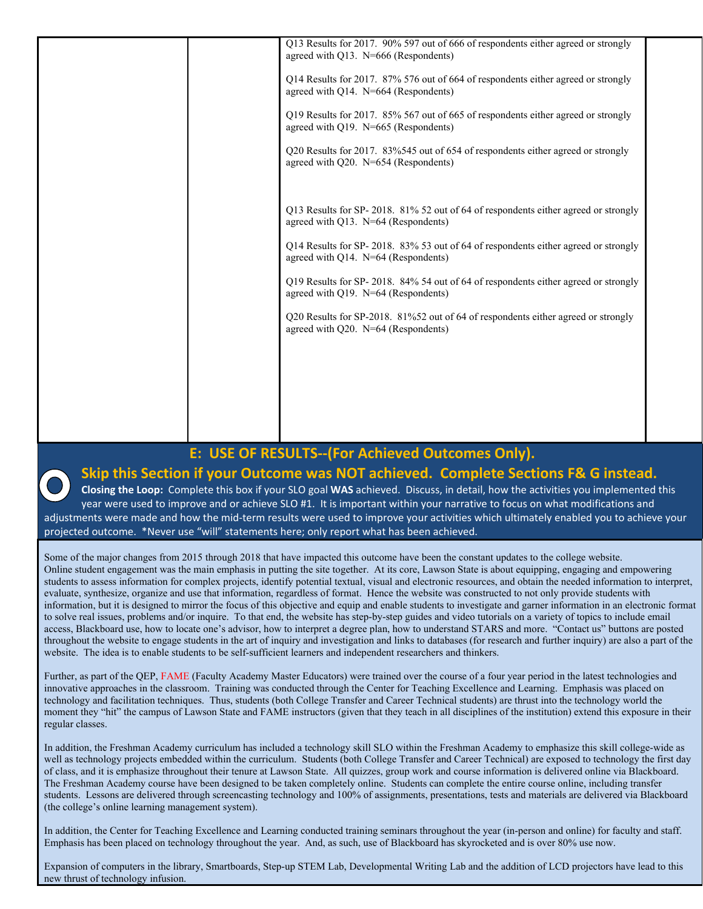Q13 Results for 2017. 90% 597 out of 666 of respondents either agreed or strongly agreed with Q13. N=666 (Respondents) Q14 Results for 2017. 87% 576 out of 664 of respondents either agreed or strongly agreed with Q14. N=664 (Respondents) Q19 Results for 2017. 85% 567 out of 665 of respondents either agreed or strongly agreed with Q19. N=665 (Respondents) Q20 Results for 2017. 83%545 out of 654 of respondents either agreed or strongly agreed with Q20. N=654 (Respondents) Q13 Results for SP- 2018. 81% 52 out of 64 of respondents either agreed or strongly agreed with Q13. N=64 (Respondents) Q14 Results for SP- 2018. 83% 53 out of 64 of respondents either agreed or strongly agreed with Q14. N=64 (Respondents) Q19 Results for SP- 2018. 84% 54 out of 64 of respondents either agreed or strongly agreed with Q19. N=64 (Respondents) Q20 Results for SP-2018. 81%52 out of 64 of respondents either agreed or strongly agreed with Q20. N=64 (Respondents)

## **E: USE OF RESULTS‐‐(For Achieved Outcomes Only).**

## **Skip this Section if your Outcome was NOT achieved. Complete Sections F& G instead.**

**Closing the Loop:** Complete this box if your SLO goal **WAS** achieved. Discuss, in detail, how the activities you implemented this year were used to improve and or achieve SLO #1. It is important within your narrative to focus on what modifications and adjustments were made and how the mid‐term results were used to improve your activities which ultimately enabled you to achieve your projected outcome. \*Never use "will" statements here; only report what has been achieved.

Some of the major changes from 2015 through 2018 that have impacted this outcome have been the constant updates to the college website. Online student engagement was the main emphasis in putting the site together. At its core, Lawson State is about equipping, engaging and empowering students to assess information for complex projects, identify potential textual, visual and electronic resources, and obtain the needed information to interpret, evaluate, synthesize, organize and use that information, regardless of format. Hence the website was constructed to not only provide students with information, but it is designed to mirror the focus of this objective and equip and enable students to investigate and garner information in an electronic format to solve real issues, problems and/or inquire. To that end, the website has step-by-step guides and video tutorials on a variety of topics to include email access, Blackboard use, how to locate one's advisor, how to interpret a degree plan, how to understand STARS and more. "Contact us" buttons are posted throughout the website to engage students in the art of inquiry and investigation and links to databases (for research and further inquiry) are also a part of the website. The idea is to enable students to be self-sufficient learners and independent researchers and thinkers.

Further, as part of the QEP, FAME (Faculty Academy Master Educators) were trained over the course of a four year period in the latest technologies and innovative approaches in the classroom. Training was conducted through the Center for Teaching Excellence and Learning. Emphasis was placed on technology and facilitation techniques. Thus, students (both College Transfer and Career Technical students) are thrust into the technology world the moment they "hit" the campus of Lawson State and FAME instructors (given that they teach in all disciplines of the institution) extend this exposure in their regular classes.

In addition, the Freshman Academy curriculum has included a technology skill SLO within the Freshman Academy to emphasize this skill college-wide as well as technology projects embedded within the curriculum. Students (both College Transfer and Career Technical) are exposed to technology the first day of class, and it is emphasize throughout their tenure at Lawson State. All quizzes, group work and course information is delivered online via Blackboard. The Freshman Academy course have been designed to be taken completely online. Students can complete the entire course online, including transfer students. Lessons are delivered through screencasting technology and 100% of assignments, presentations, tests and materials are delivered via Blackboard (the college's online learning management system).

In addition, the Center for Teaching Excellence and Learning conducted training seminars throughout the year (in-person and online) for faculty and staff. Emphasis has been placed on technology throughout the year. And, as such, use of Blackboard has skyrocketed and is over 80% use now.

Expansion of computers in the library, Smartboards, Step-up STEM Lab, Developmental Writing Lab and the addition of LCD projectors have lead to this new thrust of technology infusion.